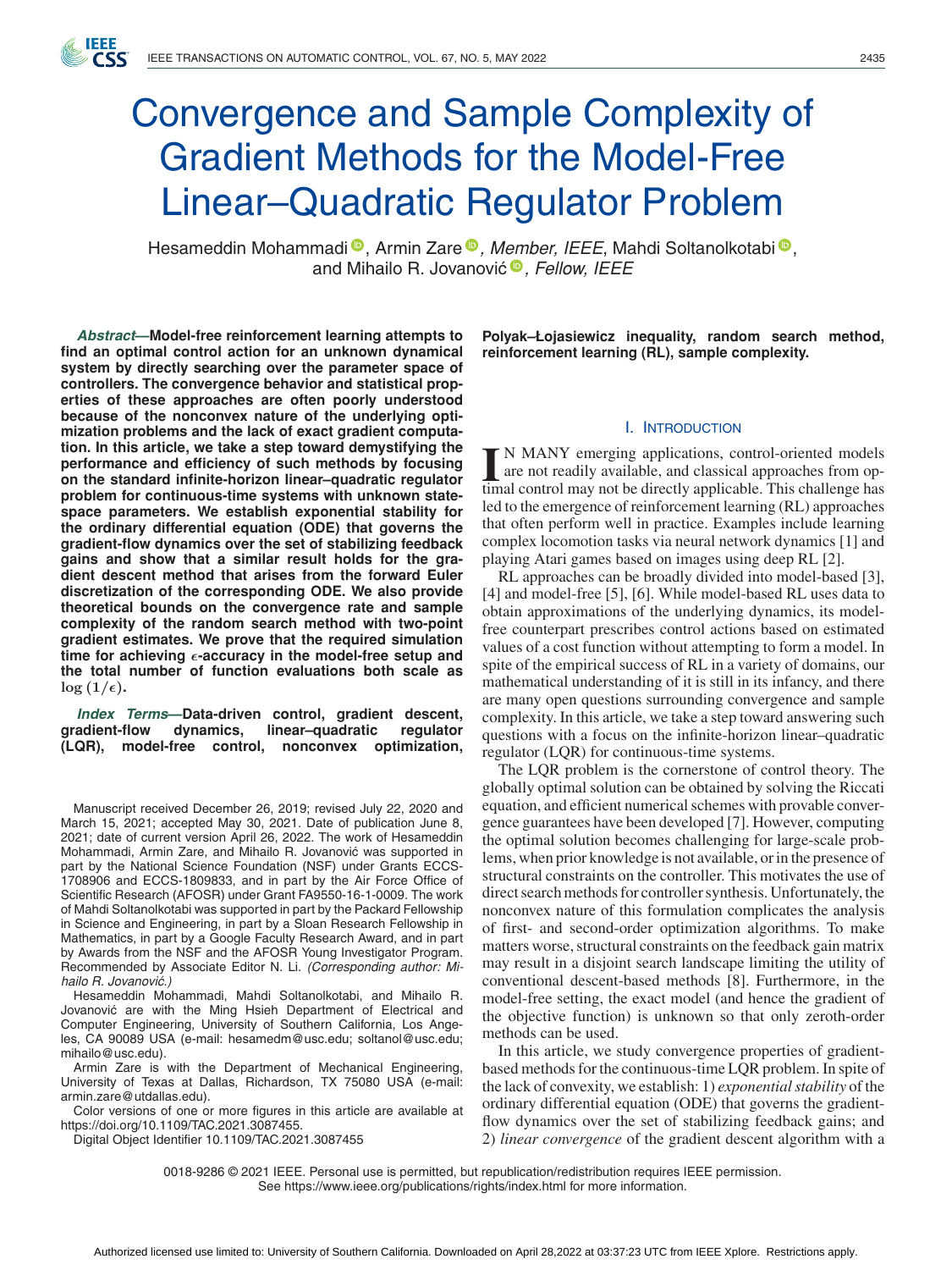# Convergence and Sample Complexity of Gradient Methods for the Model-Free Linear–Quadratic Regulator Problem

Hesameddin Mohammadi<sup>o</sup>[,](https://orcid.org/0000-0003-2101-6418) Armin Zare<sup>o</sup>, *M[em](https://orcid.org/0000-0002-4181-2924)ber, IEEE*, Mahdi Soltanolkotabi<sup>o</sup>, and Mihailo R. Jovanović<sup>®</sup>, Fellow, IEEE

*Abstract***—Model-free reinforcement learning attempts to find an optimal control action for an unknown dynamical system by directly searching over the parameter space of controllers. The convergence behavior and statistical properties of these approaches are often poorly understood because of the nonconvex nature of the underlying optimization problems and the lack of exact gradient computation. In this article, we take a step toward demystifying the performance and efficiency of such methods by focusing on the standard infinite-horizon linear–quadratic regulator problem for continuous-time systems with unknown statespace parameters. We establish exponential stability for the ordinary differential equation (ODE) that governs the gradient-flow dynamics over the set of stabilizing feedback gains and show that a similar result holds for the gradient descent method that arises from the forward Euler discretization of the corresponding ODE. We also provide theoretical bounds on the convergence rate and sample complexity of the random search method with two-point gradient estimates. We prove that the required simulation time for achieving** *-***-accuracy in the model-free setup and the total number of function evaluations both scale as**  $\log(1/\epsilon)$ .

*Index Terms***—Data-driven control, gradient descent, gradient-flow dynamics, linear–quadratic regulator (LQR), model-free control, nonconvex optimization,**

Hesameddin Mohammadi, Mahdi Soltanolkotabi, and Mihailo R. Jovanović are with the Ming Hsieh Department of Electrical and Computer Engineering, University of Southern California, Los Angeles, CA 90089 USA (e-mail: [hesamedm@usc.edu;](mailto:hesamedm@usc.edu) [soltanol@usc.edu;](mailto:soltanol@usc.edu) [mihailo@usc.edu\)](mailto:mihailo@usc.edu).

Armin Zare is with the Department of Mechanical Engineering, University of Texas at Dallas, Richardson, TX 75080 USA (e-mail: [armin.zare@utdallas.edu\)](mailto:armin.zare@utdallas.edu).

Color versions of one or more figures in this article are available at [https://doi.org/10.1109/TAC.2021.3087455.](https://doi.org/10.1109/TAC.2021.3087455)

Digital Object Identifier 10.1109/TAC.2021.3087455

**Polyak–Łojasiewicz inequality, random search method, reinforcement learning (RL), sample complexity.**

#### I. INTRODUCTION

IN MANY emerging applications, control-oriented models are not readily available, and classical approaches from optimal control may not be directly applicable. This challenge has N MANY emerging applications, control-oriented models are not readily available, and classical approaches from opled to the emergence of reinforcement learning (RL) approaches that often perform well in practice. Examples include learning complex locomotion tasks via neural network dynamics [1] and playing Atari games based on images using deep RL [2].

RL approaches can be broadly divided into model-based [3], [4] and model-free [5], [6]. While model-based RL uses data to obtain approximations of the underlying dynamics, its modelfree counterpart prescribes control actions based on estimated values of a cost function without attempting to form a model. In spite of the empirical success of RL in a variety of domains, our mathematical understanding of it is still in its infancy, and there are many open questions surrounding convergence and sample complexity. In this article, we take a step toward answering such questions with a focus on the infinite-horizon linear–quadratic regulator (LQR) for continuous-time systems.

The LQR problem is the cornerstone of control theory. The globally optimal solution can be obtained by solving the Riccati equation, and efficient numerical schemes with provable convergence guarantees have been developed [7]. However, computing the optimal solution becomes challenging for large-scale problems, when prior knowledge is not available, or in the presence of structural constraints on the controller. This motivates the use of direct search methods for controller synthesis. Unfortunately, the nonconvex nature of this formulation complicates the analysis of first- and second-order optimization algorithms. To make matters worse, structural constraints on the feedback gain matrix may result in a disjoint search landscape limiting the utility of conventional descent-based methods [8]. Furthermore, in the model-free setting, the exact model (and hence the gradient of the objective function) is unknown so that only zeroth-order methods can be used.

In this article, we study convergence properties of gradientbased methods for the continuous-time LQR problem. In spite of the lack of convexity, we establish: 1) *exponential stability* of the ordinary differential equation (ODE) that governs the gradientflow dynamics over the set of stabilizing feedback gains; and 2) *linear convergence* of the gradient descent algorithm with a

0018-9286 © 2021 IEEE. Personal use is permitted, but republication/redistribution requires IEEE permission. See https://www.ieee.org/publications/rights/index.html for more information.

Manuscript received December 26, 2019; revised July 22, 2020 and March 15, 2021; accepted May 30, 2021. Date of publication June 8, 2021; date of current version April 26, 2022. The work of Hesameddin Mohammadi, Armin Zare, and Mihailo R. Jovanovic was supported in ´ part by the National Science Foundation (NSF) under Grants ECCS-1708906 and ECCS-1809833, and in part by the Air Force Office of Scientific Research (AFOSR) under Grant FA9550-16-1-0009. The work of Mahdi Soltanolkotabi was supported in part by the Packard Fellowship in Science and Engineering, in part by a Sloan Research Fellowship in Mathematics, in part by a Google Faculty Research Award, and in part by Awards from the NSF and the AFOSR Young Investigator Program. Recommended by Associate Editor N. Li. *(Corresponding author: Mihailo R. Jovanovic.) ´*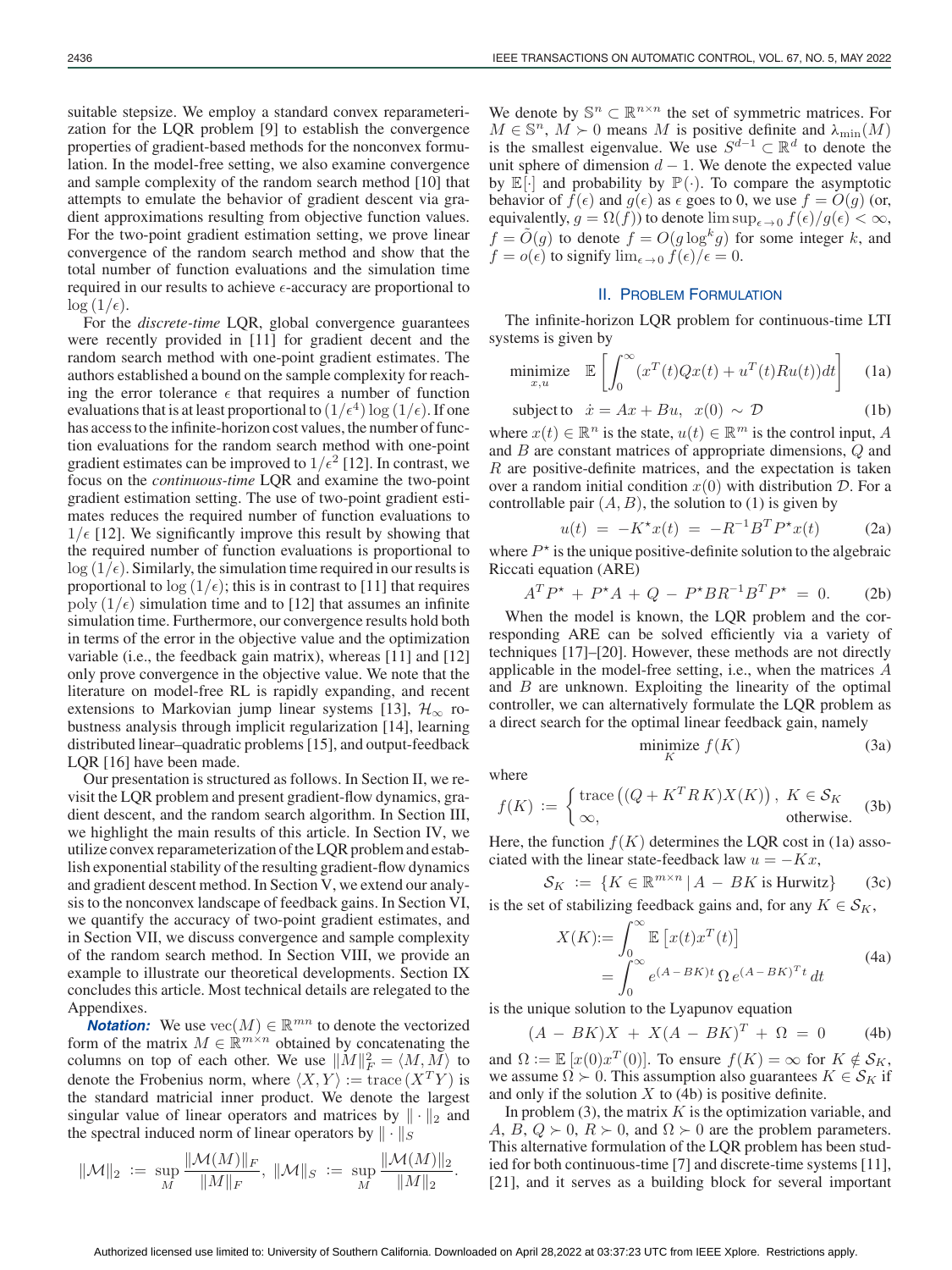suitable stepsize. We employ a standard convex reparameterization for the LQR problem [9] to establish the convergence properties of gradient-based methods for the nonconvex formulation. In the model-free setting, we also examine convergence and sample complexity of the random search method [10] that attempts to emulate the behavior of gradient descent via gradient approximations resulting from objective function values. For the two-point gradient estimation setting, we prove linear convergence of the random search method and show that the total number of function evaluations and the simulation time required in our results to achieve  $\epsilon$ -accuracy are proportional to  $\log{(1/\epsilon)}.$ 

For the *discrete-time* LQR, global convergence guarantees were recently provided in [11] for gradient decent and the random search method with one-point gradient estimates. The authors established a bound on the sample complexity for reaching the error tolerance  $\epsilon$  that requires a number of function evaluations that is at least proportional to  $(1/\epsilon^4) \log(1/\epsilon)$ . If one has access to the infinite-horizon cost values, the number of function evaluations for the random search method with one-point gradient estimates can be improved to  $1/\epsilon^2$  [12]. In contrast, we focus on the *continuous-time* LQR and examine the two-point gradient estimation setting. The use of two-point gradient estimates reduces the required number of function evaluations to  $1/\epsilon$  [12]. We significantly improve this result by showing that the required number of function evaluations is proportional to  $log(1/\epsilon)$ . Similarly, the simulation time required in our results is proportional to  $\log(1/\epsilon)$ ; this is in contrast to [11] that requires poly  $(1/\epsilon)$  simulation time and to [12] that assumes an infinite simulation time. Furthermore, our convergence results hold both in terms of the error in the objective value and the optimization variable (i.e., the feedback gain matrix), whereas [11] and [12] only prove convergence in the objective value. We note that the literature on model-free RL is rapidly expanding, and recent extensions to Markovian jump linear systems [13],  $\mathcal{H}_{\infty}$  robustness analysis through implicit regularization [14], learning distributed linear–quadratic problems [15], and output-feedback LOR [16] have been made.

Our presentation is structured as follows. In Section II, we revisit the LQR problem and present gradient-flow dynamics, gradient descent, and the random search algorithm. In Section III, we highlight the main results of this article. In Section IV, we utilize convex reparameterization of the LQR problem and establish exponential stability of the resulting gradient-flow dynamics and gradient descent method. In Section V, we extend our analysis to the nonconvex landscape of feedback gains. In Section VI, we quantify the accuracy of two-point gradient estimates, and in Section VII, we discuss convergence and sample complexity of the random search method. In Section VIII, we provide an example to illustrate our theoretical developments. Section IX concludes this article. Most technical details are relegated to the Appendixes.

*Notation:* We use  $vec(M) \in \mathbb{R}^{mn}$  to denote the vectorized form of the matrix  $M \in \mathbb{R}^{m \times n}$  obtained by concatenating the columns on top of each other. We use  $||M||_F^2 = \langle M, M \rangle$  to denote the Frobenius norm, where  $\langle X, Y \rangle := \text{trace}(X^T Y)$  is the standard matricial inner product. We denote the largest singular value of linear operators and matrices by  $\|\cdot\|_2$  and the spectral induced norm of linear operators by  $\|\cdot\|_S$ 

$$
\|{\cal M}\|_2\;:=\;\sup_M \frac{\|{\cal M}(M)\|_F}{\|M\|_F},\ \|{\cal M}\|_S\;:=\;\sup_M \frac{\|{\cal M}(M)\|_2}{\|M\|_2}.
$$

We denote by  $\mathbb{S}^n \subset \mathbb{R}^{n \times n}$  the set of symmetric matrices. For  $M \in \mathbb{S}^n$ ,  $M \succ 0$  means M is positive definite and  $\lambda_{\min}(M)$ is the smallest eigenvalue. We use  $S^{d-1} \subset \mathbb{R}^d$  to denote the unit sphere of dimension  $d - 1$ . We denote the expected value by  $\mathbb{E}[\cdot]$  and probability by  $\mathbb{P}(\cdot)$ . To compare the asymptotic behavior of  $f(\epsilon)$  and  $g(\epsilon)$  as  $\epsilon$  goes to 0, we use  $f = O(g)$  (or, equivalently,  $g = \Omega(f)$ ) to denote  $\limsup_{\epsilon \to 0} f(\epsilon)/g(\epsilon) < \infty$ ,  $f = \tilde{O}(g)$  to denote  $f = O(g \log^k g)$  for some integer k, and  $f = o(\epsilon)$  to signify  $\lim_{\epsilon \to 0} f(\epsilon)/\epsilon = 0$ .

# II. PROBLEM FORMULATION

The infinite-horizon LQR problem for continuous-time LTI systems is given by

$$
\underset{x,u}{\text{minimize}} \quad \mathbb{E}\left[\int_0^\infty (x^T(t)Qx(t) + u^T(t)Ru(t))dt\right] \tag{1a}
$$

subject to 
$$
\dot{x} = Ax + Bu, \ x(0) \sim \mathcal{D}
$$
 (1b)

where  $x(t) \in \mathbb{R}^n$  is the state,  $u(t) \in \mathbb{R}^m$  is the control input, A and B are constant matrices of appropriate dimensions, Q and R are positive-definite matrices, and the expectation is taken over a random initial condition  $x(0)$  with distribution D. For a controllable pair  $(A, B)$ , the solution to (1) is given by

$$
u(t) = -K^*x(t) = -R^{-1}B^T P^*x(t)
$$
 (2a)

where  $P^*$  is the unique positive-definite solution to the algebraic Riccati equation (ARE)

$$
A^T P^* + P^* A + Q - P^* B R^{-1} B^T P^* = 0.
$$
 (2b)

When the model is known, the LQR problem and the corresponding ARE can be solved efficiently via a variety of techniques [17]–[20]. However, these methods are not directly applicable in the model-free setting, i.e., when the matrices A and  $B$  are unknown. Exploiting the linearity of the optimal controller, we can alternatively formulate the LQR problem as a direct search for the optimal linear feedback gain, namely

$$
\underset{K}{\text{minimize}}\ f(K)\tag{3a}
$$

where

$$
f(K) := \begin{cases} \text{trace}\left( (Q + K^T R K) X(K) \right), & K \in \mathcal{S}_K \\ \infty, & \text{otherwise.} \end{cases}
$$
 (3b)

Here, the function  $f(K)$  determines the LQR cost in (1a) associated with the linear state-feedback law  $u = -Kx$ ,

$$
\mathcal{S}_K := \{ K \in \mathbb{R}^{m \times n} \, | \, A - BK \text{ is Hurwitz} \} \qquad (3c)
$$

is the set of stabilizing feedback gains and, for any  $K \in \mathcal{S}_K$ ,

$$
X(K) := \int_0^\infty \mathbb{E} \left[ x(t) x^T(t) \right]
$$
  
= 
$$
\int_0^\infty e^{(A - BK)t} \, \Omega \, e^{(A - BK)^T t} \, dt
$$
 (4a)

is the unique solution to the Lyapunov equation

$$
(A - BK)X + X(A - BK)^{T} + \Omega = 0 \qquad (4b)
$$

and  $\Omega := \mathbb{E} [x(0)x^T(0)]$ . To ensure  $f(K) = \infty$  for  $K \notin \mathcal{S}_K$ , we assume  $\Omega \succ 0$ . This assumption also guarantees  $K \in \mathcal{S}_K$  if and only if the solution  $X$  to (4b) is positive definite.

In problem  $(3)$ , the matrix K is the optimization variable, and A, B,  $Q \succ 0$ ,  $R \succ 0$ , and  $\Omega \succ 0$  are the problem parameters. This alternative formulation of the LQR problem has been studied for both continuous-time [7] and discrete-time systems [11], [21], and it serves as a building block for several important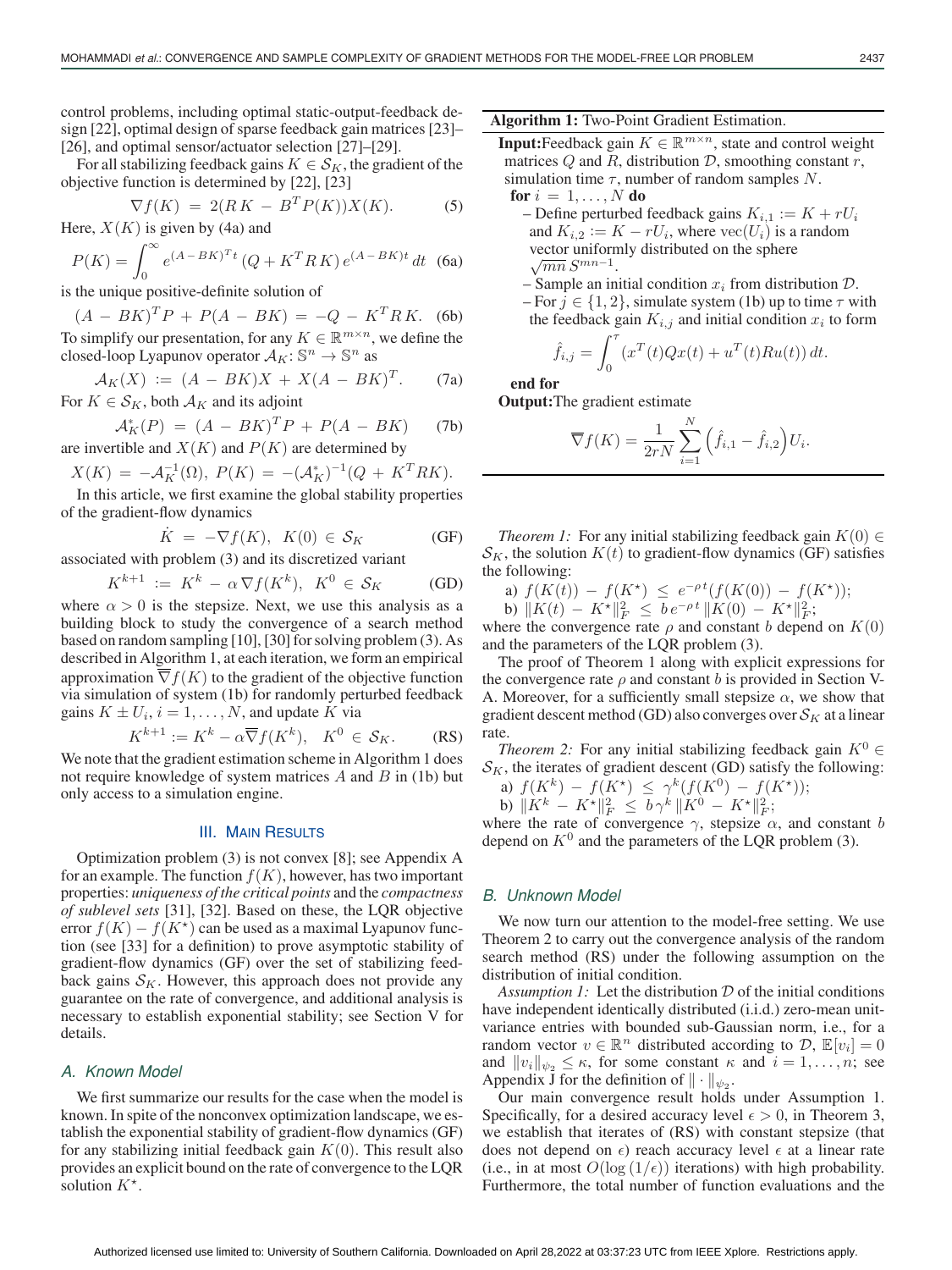control problems, including optimal static-output-feedback design [22], optimal design of sparse feedback gain matrices [23]– [26], and optimal sensor/actuator selection [27]–[29].

For all stabilizing feedback gains  $K \in S_K$ , the gradient of the objective function is determined by [22], [23]

$$
\nabla f(K) = 2(RK - BT P(K))X(K).
$$
 (5)  
Here,  $X(K)$  is given by (4a) and

$$
P(K) = \int_0^\infty e^{(A - BK)^T t} (Q + K^T R K) e^{(A - BK)t} dt
$$
 (6a)

is the unique positive-definite solution of

 $(A - BK)^T P + P(A - BK) = -Q - K^T R K.$  (6b) To simplify our presentation, for any  $K \in \mathbb{R}^{m \times n}$ , we define the closed-loop Lyapunov operator  $A_K: \mathbb{S}^n \to \mathbb{S}^n$  as

$$
\mathcal{A}_K(X) := (A - BK)X + X(A - BK)^T. \tag{7a}
$$

For 
$$
K \in S_K
$$
, both  $A_K$  and its adjoint

$$
A_K^*(P) = (A - BK)^T P + P(A - BK)
$$
 (7b)  
are invertible and  $X(K)$  and  $P(K)$  are determined by

$$
X(K) = -\mathcal{A}_K^{-1}(\Omega), P(K) = -(\mathcal{A}_K^*)^{-1}(Q + K^T R K).
$$

In this article, we first examine the global stability properties of the gradient-flow dynamics

$$
\dot{K} = -\nabla f(K), \ K(0) \in \mathcal{S}_K \tag{GF}
$$

associated with problem (3) and its discretized variant

$$
K^{k+1} := K^k - \alpha \nabla f(K^k), \quad K^0 \in \mathcal{S}_K \tag{GD}
$$

where  $\alpha > 0$  is the stepsize. Next, we use this analysis as a building block to study the convergence of a search method based on random sampling [10], [30] for solving problem (3). As described in Algorithm 1, at each iteration, we form an empirical approximation  $\nabla f(K)$  to the gradient of the objective function via simulation of system (1b) for randomly perturbed feedback gains  $K \pm U_i$ ,  $i = 1, ..., N$ , and update K via

$$
K^{k+1} := K^k - \alpha \overline{\nabla} f(K^k), \quad K^0 \in \mathcal{S}_K. \tag{RS}
$$

We note that the gradient estimation scheme in Algorithm 1 does not require knowledge of system matrices  $A$  and  $B$  in (1b) but only access to a simulation engine.

### III. MAIN RESULTS

Optimization problem (3) is not convex [8]; see Appendix A for an example. The function  $f(K)$ , however, has two important properties: *uniqueness of the critical points* and the *compactness of sublevel sets* [31], [32]. Based on these, the LQR objective error  $f(K) - f(K^*)$  can be used as a maximal Lyapunov function (see [33] for a definition) to prove asymptotic stability of gradient-flow dynamics (GF) over the set of stabilizing feedback gains  $S_K$ . However, this approach does not provide any guarantee on the rate of convergence, and additional analysis is necessary to establish exponential stability; see Section V for details.

#### *A. Known Model*

We first summarize our results for the case when the model is known. In spite of the nonconvex optimization landscape, we establish the exponential stability of gradient-flow dynamics (GF) for any stabilizing initial feedback gain  $K(0)$ . This result also provides an explicit bound on the rate of convergence to the LQR solution  $K^*$ .

**Algorithm 1:** Two-Point Gradient Estimation.

**Input:**Feedback gain  $K \in \mathbb{R}^{m \times n}$ , state and control weight matrices  $Q$  and  $R$ , distribution  $D$ , smoothing constant  $r$ , simulation time  $\tau$ , number of random samples N. **for**  $i = 1, \ldots, N$  **do** 

- Define perturbed feedback gains  $K_{i,1} := K + rU_i$ and  $K_{i,2} := K - rU_i$ , where  $\text{vec}(U_i)$  is a random vector uniformly distributed on the sphere  $\sqrt{mn} S^{mn-1}$ .
- Sample an initial condition  $x_i$  from distribution  $\mathcal{D}$ .
- For  $j \in \{1, 2\}$ , simulate system (1b) up to time  $\tau$  with the feedback gain  $K_{i,j}$  and initial condition  $x_i$  to form

$$
\hat{f}_{i,j} = \int_0^{\tau} (x^T(t)Qx(t) + u^T(t)Ru(t)) dt.
$$

**end for**

**Output:**The gradient estimate

$$
\overline{\nabla}f(K) = \frac{1}{2rN} \sum_{i=1}^{N} \left(\hat{f}_{i,1} - \hat{f}_{i,2}\right) U_i.
$$

*Theorem 1:* For any initial stabilizing feedback gain  $K(0) \in$  $S_K$ , the solution  $K(t)$  to gradient-flow dynamics (GF) satisfies the following:

a)  $f(K(t)) - f(K^*) \leq e^{-\rho t} (f(K(0)) - f(K^*));$ b)  $||K(t) - K^*||_F^2 \leq b e^{-\rho t} ||K(0) - K^*||_F^2;$ 

where the convergence rate  $\rho$  and constant b depend on  $K(0)$ and the parameters of the LQR problem (3).

The proof of Theorem 1 along with explicit expressions for the convergence rate  $\rho$  and constant b is provided in Section V-A. Moreover, for a sufficiently small stepsize  $\alpha$ , we show that gradient descent method (GD) also converges over  $\mathcal{S}_K$  at a linear rate.

*Theorem 2:* For any initial stabilizing feedback gain  $K^0$  ∈  $S_K$ , the iterates of gradient descent (GD) satisfy the following:

a)  $f(K^k) - f(K^*) \leq \gamma^k(f(K^0) - f(K^*));$ b)  $||K^k - K^{\star}||_F^2 \le b \gamma^k ||K^0 - K^{\star}||_F^2;$ 

where the rate of convergence  $\gamma$ , stepsize  $\alpha$ , and constant b depend on  $K^0$  and the parameters of the LQR problem (3).

#### *B. Unknown Model*

We now turn our attention to the model-free setting. We use Theorem 2 to carry out the convergence analysis of the random search method (RS) under the following assumption on the distribution of initial condition.

*Assumption 1:* Let the distribution  $D$  of the initial conditions have independent identically distributed (i.i.d.) zero-mean unitvariance entries with bounded sub-Gaussian norm, i.e., for a random vector  $v \in \mathbb{R}^n$  distributed according to  $\mathcal{D}, \mathbb{E}[v_i]=0$ and  $||v_i||_{\psi_2} \leq \kappa$ , for some constant  $\kappa$  and  $i = 1, \ldots, n$ ; see Appendix J for the definition of  $\|\cdot\|_{\psi_2}$ .

Our main convergence result holds under Assumption 1. Specifically, for a desired accuracy level  $\epsilon > 0$ , in Theorem 3, we establish that iterates of (RS) with constant stepsize (that does not depend on  $\epsilon$ ) reach accuracy level  $\epsilon$  at a linear rate (i.e., in at most  $O(\log(1/\epsilon))$  iterations) with high probability. Furthermore, the total number of function evaluations and the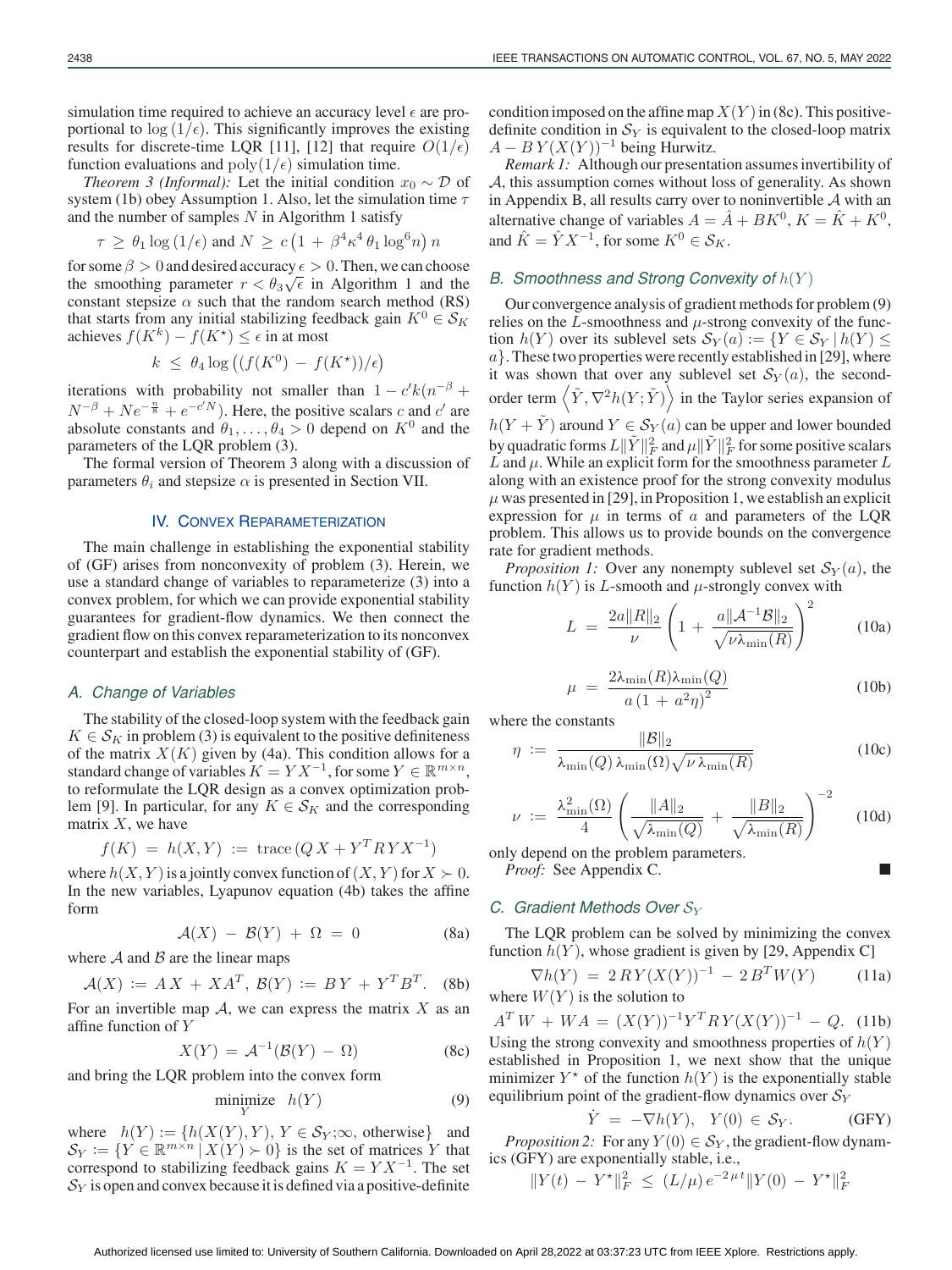simulation time required to achieve an accuracy level  $\epsilon$  are proportional to  $\log(1/\epsilon)$ . This significantly improves the existing results for discrete-time LQR [11], [12] that require  $O(1/\epsilon)$ function evaluations and  $\text{poly}(1/\epsilon)$  simulation time.

*Theorem 3 (Informal):* Let the initial condition  $x_0 \sim \mathcal{D}$  of system (1b) obey Assumption 1. Also, let the simulation time  $\tau$ and the number of samples  $N$  in Algorithm 1 satisfy

$$
\tau \geq \theta_1 \log(1/\epsilon)
$$
 and  $N \geq c \left(1 + \beta^4 \kappa^4 \theta_1 \log^6 n\right) n$ 

for some  $\beta > 0$  and desired accuracy  $\epsilon > 0$ . Then, we can choose for some  $\beta > 0$  and desired accuracy  $\epsilon > 0$ . Then, we can choose<br>the smoothing parameter  $r < \theta_3 \sqrt{\epsilon}$  in Algorithm 1 and the constant stepsize  $\alpha$  such that the random search method (RS) that starts from any initial stabilizing feedback gain  $K^0 \in \mathcal{S}_K$ achieves  $f(K^k) - f(K^*) \leq \epsilon$  in at most

$$
k \leq \theta_4 \log \left( (f(K^0) - f(K^{\star})) / \epsilon \right)
$$

iterations with probability not smaller than  $1 - c' k (n^{-\beta} +$  $N^{-\beta} + Ne^{-\frac{n}{8}} + e^{-c/N}$ ). Here, the positive scalars c and c' are absolute constants and  $\theta_1, \ldots, \theta_4 > 0$  depend on  $K^0$  and the parameters of the LQR problem (3).

The formal version of Theorem 3 along with a discussion of parameters  $\theta_i$  and stepsize  $\alpha$  is presented in Section VII.

# IV. CONVEX REPARAMETERIZATION

The main challenge in establishing the exponential stability of (GF) arises from nonconvexity of problem (3). Herein, we use a standard change of variables to reparameterize (3) into a convex problem, for which we can provide exponential stability guarantees for gradient-flow dynamics. We then connect the gradient flow on this convex reparameterization to its nonconvex counterpart and establish the exponential stability of (GF).

#### *A. Change of Variables*

The stability of the closed-loop system with the feedback gain  $K \in S_K$  in problem (3) is equivalent to the positive definiteness of the matrix  $X(K)$  given by (4a). This condition allows for a standard change of variables  $K = Y X^{-1}$ , for some  $Y \in \mathbb{R}^{m \times n}$ , to reformulate the LQR design as a convex optimization problem [9]. In particular, for any  $K \in S_K$  and the corresponding matrix  $X$ , we have

$$
f(K) = h(X, Y) := \text{trace}\left(QX + Y^T R Y X^{-1}\right)
$$

where  $h(X, Y)$  is a jointly convex function of  $(X, Y)$  for  $X \succ 0$ . In the new variables, Lyapunov equation (4b) takes the affine form

$$
\mathcal{A}(X) - \mathcal{B}(Y) + \Omega = 0 \tag{8a}
$$

where  $A$  and  $B$  are the linear maps

$$
\mathcal{A}(X) := AX + XA^T, \ \mathcal{B}(Y) := BY + Y^T B^T. \tag{8b}
$$

For an invertible map  $A$ , we can express the matrix X as an affine function of Y

$$
X(Y) = \mathcal{A}^{-1}(\mathcal{B}(Y) - \Omega) \tag{8c}
$$

and bring the LQR problem into the convex form

$$
\underset{Y}{\text{minimize}} \quad h(Y) \tag{9}
$$

where  $h(Y) := \{h(X(Y), Y), Y \in S_Y; \infty, \text{ otherwise}\}\$ and  $\mathcal{S}_Y := \{ Y \in \mathbb{R}^{m \times n} \mid X(Y) \succ 0 \}$  is the set of matrices Y that correspond to stabilizing feedback gains  $K = Y X^{-1}$ . The set  $\mathcal{S}_Y$  is open and convex because it is defined via a positive-definite

condition imposed on the affine map  $X(Y)$  in (8c). This positivedefinite condition in  $S_Y$  is equivalent to the closed-loop matrix  $A - BY(X(Y))^{-1}$  being Hurwitz.

*Remark 1:* Although our presentation assumes invertibility of A, this assumption comes without loss of generality. As shown in Appendix B, all results carry over to noninvertible  $A$  with an alternative change of variables  $A = \hat{A} + BK^0$ ,  $K = \hat{K} + K^0$ , and  $\hat{K} = \hat{Y} X^{-1}$ , for some  $K^0 \in \mathcal{S}_K$ .

# *B. Smoothness and Strong Convexity of* h(Y )

Our convergence analysis of gradient methods for problem (9) relies on the L-smoothness and  $\mu$ -strong convexity of the function  $h(Y)$  over its sublevel sets  $S_Y(a) := \{ Y \in S_Y \mid h(Y) \leq \}$  $a$ . These two properties were recently established in [29], where it was shown that over any sublevel set  $S_Y(a)$ , the secondorder term  $\langle \tilde{Y}, \nabla^2 h(Y; \tilde{Y}) \rangle$  in the Taylor series expansion of  $h(Y + \tilde{Y})$  around  $Y \in S_Y(a)$  can be upper and lower bounded by quadratic forms  $L\|\tilde{Y}\|_F^2$  and  $\mu\|\tilde{Y}\|_F^2$  for some positive scalars L and  $\mu$ . While an explicit form for the smoothness parameter L along with an existence proof for the strong convexity modulus  $\mu$  was presented in [29], in Proposition 1, we establish an explicit expression for  $\mu$  in terms of a and parameters of the LQR problem. This allows us to provide bounds on the convergence rate for gradient methods.

*Proposition 1:* Over any nonempty sublevel set  $S_Y(a)$ , the function  $h(Y)$  is L-smooth and  $\mu$ -strongly convex with

$$
L = \frac{2a||R||_2}{\nu} \left( 1 + \frac{a||A^{-1}B||_2}{\sqrt{\nu \lambda_{\min}(R)}} \right)^2 \quad (10a)
$$

$$
\mu = \frac{2\lambda_{\min}(R)\lambda_{\min}(Q)}{a\left(1 + a^2\eta\right)^2} \tag{10b}
$$

where the constants

$$
\eta := \frac{\|\mathcal{B}\|_2}{\lambda_{\min}(Q)\,\lambda_{\min}(\Omega)\sqrt{\nu\,\lambda_{\min}(R)}}\tag{10c}
$$

$$
\nu := \frac{\lambda_{\min}^2(\Omega)}{4} \left( \frac{\|A\|_2}{\sqrt{\lambda_{\min}(Q)}} + \frac{\|B\|_2}{\sqrt{\lambda_{\min}(R)}} \right)^{-2} \quad (10d)
$$

only depend on the problem parameters. *Proof:* See Appendix C.

#### *C.* Gradient Methods Over S<sub>Y</sub>

The LQR problem can be solved by minimizing the convex function  $h(Y)$ , whose gradient is given by [29, Appendix C]

$$
\nabla h(Y) = 2 R Y(X(Y))^{-1} - 2 B^T W(Y)
$$
 (11a)  
where  $W(Y)$  is the solution to

 $A^T W + W A = (X(Y))^{-1} Y^T R Y (X(Y))^{-1} - Q.$  (11b) Using the strong convexity and smoothness properties of  $h(Y)$ established in Proposition 1, we next show that the unique minimizer  $Y^*$  of the function  $h(Y)$  is the exponentially stable equilibrium point of the gradient-flow dynamics over  $S_Y$ 

$$
\dot{Y} = -\nabla h(Y), \quad Y(0) \in \mathcal{S}_Y. \tag{GFY}
$$

*Proposition 2:* For any  $Y(0) \in S_Y$ , the gradient-flow dynamics (GFY) are exponentially stable, i.e.,

$$
||Y(t) - Y^*||_F^2 \le (L/\mu) e^{-2\mu t} ||Y(0) - Y^*||_F^2
$$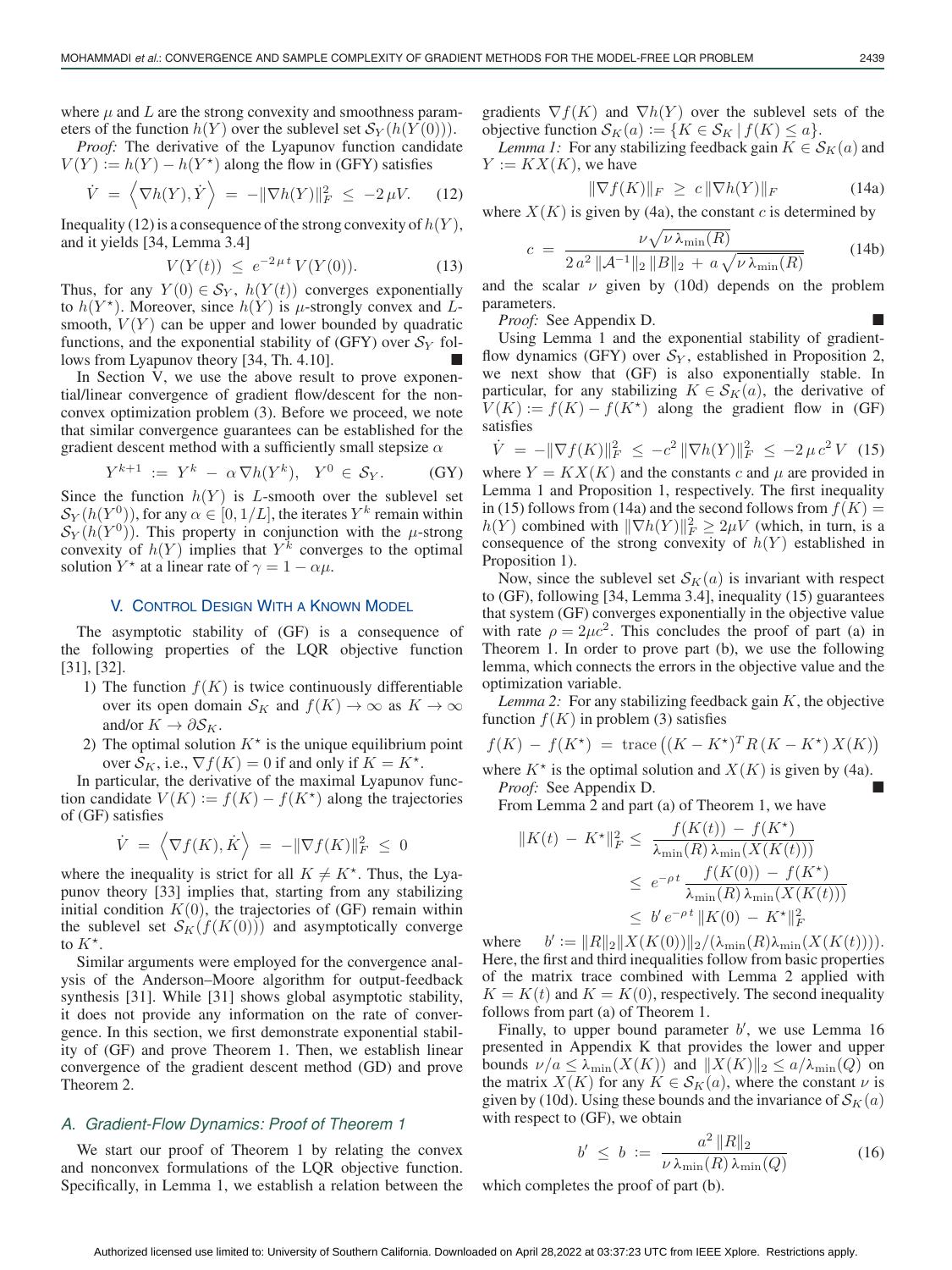*Proof:* The derivative of the Lyapunov function candidate  $V(Y) := h(Y) - h(Y^*)$  along the flow in (GFY) satisfies

$$
\dot{V} = \left\langle \nabla h(Y), \dot{Y} \right\rangle = -\|\nabla h(Y)\|_F^2 \le -2 \,\mu V. \tag{12}
$$

Inequality (12) is a consequence of the strong convexity of  $h(Y)$ , and it yields [34, Lemma 3.4]

$$
V(Y(t)) \le e^{-2\mu t} V(Y(0)). \tag{13}
$$

Thus, for any  $Y(0) \in S_Y$ ,  $h(Y(t))$  converges exponentially to  $h(Y^*)$ . Moreover, since  $h(Y)$  is  $\mu$ -strongly convex and  $L$ smooth,  $V(Y)$  can be upper and lower bounded by quadratic functions, and the exponential stability of (GFY) over  $S_Y$  follows from Lyapunov theory [34, Th. 4.10].

In Section V, we use the above result to prove exponential/linear convergence of gradient flow/descent for the nonconvex optimization problem (3). Before we proceed, we note that similar convergence guarantees can be established for the gradient descent method with a sufficiently small stepsize  $\alpha$ 

$$
Y^{k+1} := Y^k - \alpha \nabla h(Y^k), \quad Y^0 \in \mathcal{S}_Y. \tag{GY}
$$

Since the function  $h(Y)$  is L-smooth over the sublevel set  $S_Y(h(Y^0))$ , for any  $\alpha \in [0, 1/L]$ , the iterates  $Y^k$  remain within  $S_Y(h(Y^0))$ . This property in conjunction with the  $\mu$ -strong convexity of  $h(Y)$  implies that Y<sup>k</sup> converges to the optimal solution  $Y^*$  at a linear rate of  $\gamma = 1 - \alpha \mu$ .

#### V. CONTROL DESIGN WITH A KNOWN MODEL

The asymptotic stability of (GF) is a consequence of the following properties of the LQR objective function [31], [32].

- 1) The function  $f(K)$  is twice continuously differentiable over its open domain  $S_K$  and  $f(K) \to \infty$  as  $K \to \infty$ and/or  $K \to \partial S_K$ .
- 2) The optimal solution  $K^*$  is the unique equilibrium point over  $S_K$ , i.e.,  $\nabla f(K) = 0$  if and only if  $K = K^*$ .

In particular, the derivative of the maximal Lyapunov function candidate  $V(K) := f(K) - f(K^*)$  along the trajectories of (GF) satisfies

$$
\dot{V} = \left\langle \nabla f(K), \dot{K} \right\rangle = -\|\nabla f(K)\|_F^2 \leq 0
$$

where the inequality is strict for all  $K \neq K^*$ . Thus, the Lyapunov theory [33] implies that, starting from any stabilizing initial condition  $K(0)$ , the trajectories of (GF) remain within the sublevel set  $S_K(f(K(0)))$  and asymptotically converge to  $K^*$ .

Similar arguments were employed for the convergence analysis of the Anderson–Moore algorithm for output-feedback synthesis [31]. While [31] shows global asymptotic stability, it does not provide any information on the rate of convergence. In this section, we first demonstrate exponential stability of (GF) and prove Theorem 1. Then, we establish linear convergence of the gradient descent method (GD) and prove Theorem 2.

#### *A. Gradient-Flow Dynamics: Proof of Theorem 1*

We start our proof of Theorem 1 by relating the convex and nonconvex formulations of the LQR objective function. Specifically, in Lemma 1, we establish a relation between the gradients  $\nabla f(K)$  and  $\nabla h(Y)$  over the sublevel sets of the objective function  $\mathcal{S}_K(a) := \{K \in \mathcal{S}_K \mid f(K) \leq a\}.$ 

*Lemma 1:* For any stabilizing feedback gain  $K \in S<sub>K</sub>(a)$  and  $Y := KX(K)$ , we have

$$
\|\nabla f(K)\|_F \ge c \|\nabla h(Y)\|_F \tag{14a}
$$

where  $X(K)$  is given by (4a), the constant c is determined by

$$
c = \frac{\nu \sqrt{\nu \lambda_{\min}(R)}}{2 a^2 \|A^{-1}\|_2 \|B\|_2 + a \sqrt{\nu \lambda_{\min}(R)}} \tag{14b}
$$

and the scalar  $\nu$  given by (10d) depends on the problem parameters.

*Proof:* See Appendix D.

Using Lemma 1 and the exponential stability of gradientflow dynamics (GFY) over  $S_Y$ , established in Proposition 2, we next show that (GF) is also exponentially stable. In particular, for any stabilizing  $K \in S_K(a)$ , the derivative of  $V(K) := f(K) - f(K^*)$  along the gradient flow in (GF) satisfies

$$
\dot{V} = -\|\nabla f(K)\|_{F}^{2} \le -c^{2} \|\nabla h(Y)\|_{F}^{2} \le -2 \,\mu \, c^{2} \, V \tag{15}
$$

where  $Y = KX(K)$  and the constants c and  $\mu$  are provided in Lemma 1 and Proposition 1, respectively. The first inequality in (15) follows from (14a) and the second follows from  $f(K) =$  $h(Y)$  combined with  $\|\nabla h(Y)\|_F^2 \ge 2\mu V$  (which, in turn, is a consequence of the strong convexity of  $h(Y)$  established in Proposition 1).

Now, since the sublevel set  $\mathcal{S}_K(a)$  is invariant with respect to (GF), following [34, Lemma 3.4], inequality (15) guarantees that system (GF) converges exponentially in the objective value with rate  $\rho = 2\mu c^2$ . This concludes the proof of part (a) in Theorem 1. In order to prove part (b), we use the following lemma, which connects the errors in the objective value and the optimization variable.

*Lemma 2:* For any stabilizing feedback gain K, the objective function  $f(K)$  in problem (3) satisfies

$$
f(K) - f(K^*) = \operatorname{trace}\left( (K - K^*)^T R (K - K^*) X(K) \right)
$$

where  $K^*$  is the optimal solution and  $X(K)$  is given by (4a). *Proof:* See Appendix D.

From Lemma 2 and part (a) of Theorem 1, we have

$$
||K(t) - K^*||_F^2 \le \frac{f(K(t)) - f(K^*)}{\lambda_{\min}(R)\lambda_{\min}(X(K(t)))}
$$
  
 
$$
\le e^{-\rho t} \frac{f(K(0)) - f(K^*)}{\lambda_{\min}(R)\lambda_{\min}(X(K(t)))}
$$
  
 
$$
\le b' e^{-\rho t} ||K(0) - K^*||_F^2
$$

where  $b' := ||R||_2||X(K(0))||_2/(\lambda_{\min}(R)\lambda_{\min}(X(K(t))))$ . Here, the first and third inequalities follow from basic properties of the matrix trace combined with Lemma 2 applied with  $K = K(t)$  and  $K = K(0)$ , respectively. The second inequality follows from part (a) of Theorem 1.

Finally, to upper bound parameter  $b'$ , we use Lemma 16 presented in Appendix K that provides the lower and upper bounds  $\nu/a \leq \lambda_{\min}(X(K))$  and  $||X(K)||_2 \leq a/\lambda_{\min}(Q)$  on the matrix  $X(K)$  for any  $K \in S<sub>K</sub>(a)$ , where the constant  $\nu$  is given by (10d). Using these bounds and the invariance of  $\mathcal{S}_K(a)$ with respect to (GF), we obtain

$$
b' \le b := \frac{a^2 \|R\|_2}{\nu \lambda_{\min}(R) \lambda_{\min}(Q)} \tag{16}
$$

which completes the proof of part (b).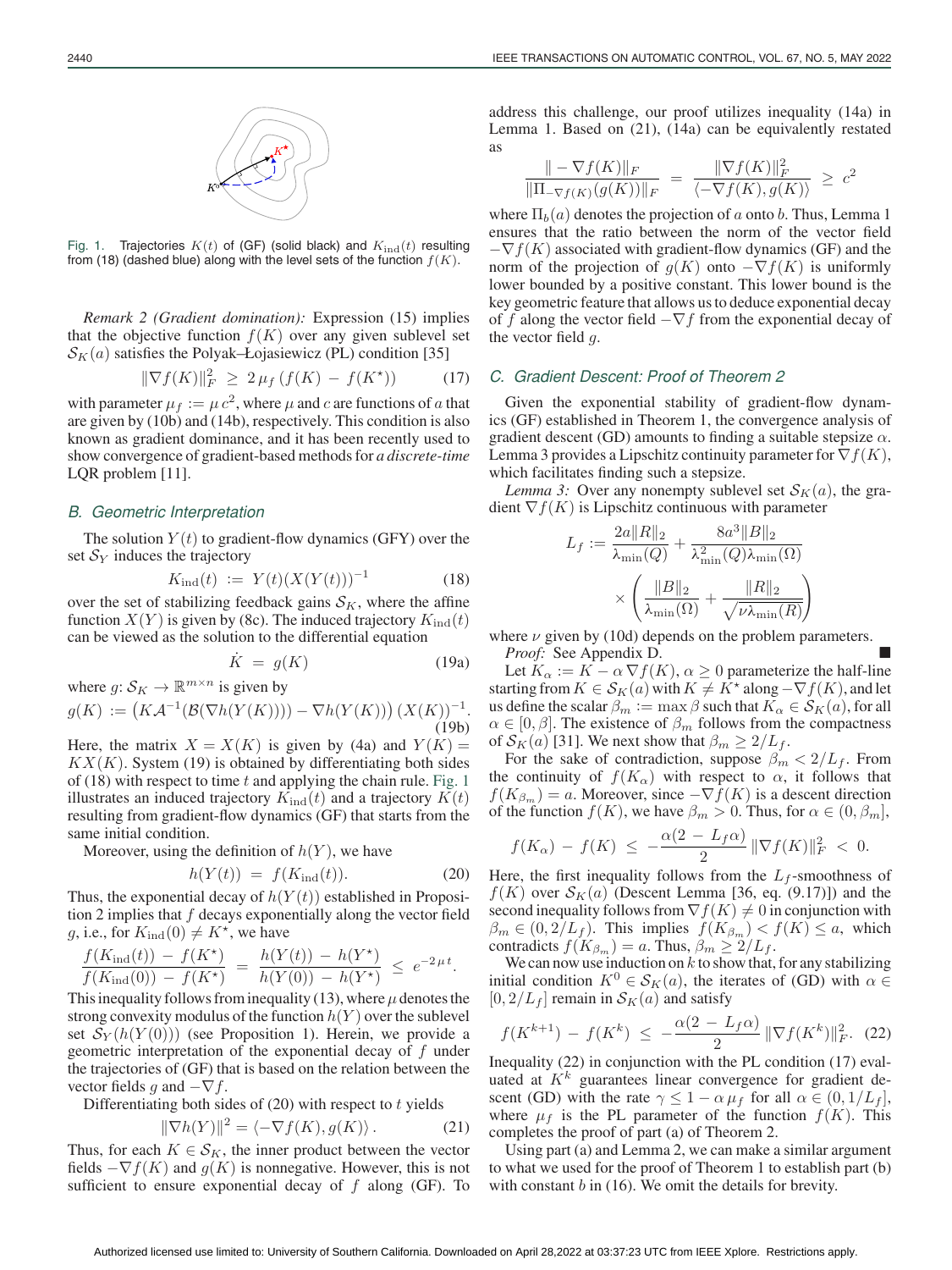Fig. 1. Trajectories  $K(t)$  of (GF) (solid black) and  $K_{\text{ind}}(t)$  resulting from (18) (dashed blue) along with the level sets of the function  $f(K)$ .

*Remark 2 (Gradient domination):* Expression (15) implies that the objective function  $f(K)$  over any given sublevel set  $S_K(a)$  satisfies the Polyak–Łojasiewicz (PL) condition [35]

$$
\|\nabla f(K)\|_{F}^{2} \ge 2\,\mu_{f}\left(f(K) - f(K^{\star})\right) \tag{17}
$$

with parameter  $\mu_f := \mu c^2$ , where  $\mu$  and c are functions of a that are given by (10b) and (14b), respectively. This condition is also known as gradient dominance, and it has been recently used to show convergence of gradient-based methods for *a discrete-time* LQR problem [11].

#### *B. Geometric Interpretation*

The solution  $Y(t)$  to gradient-flow dynamics (GFY) over the set  $S_Y$  induces the trajectory

$$
K_{\rm ind}(t) := Y(t)(X(Y(t)))^{-1}
$$
 (18)

over the set of stabilizing feedback gains  $\mathcal{S}_K$ , where the affine function  $X(Y)$  is given by (8c). The induced trajectory  $K_{\text{ind}}(t)$ can be viewed as the solution to the differential equation

$$
\dot{K} = g(K) \tag{19a}
$$

where  $g: \mathcal{S}_K \to \mathbb{R}^{m \times n}$  is given by

$$
g(K) := \left( K\mathcal{A}^{-1}(\mathcal{B}(\nabla h(Y(K)))) - \nabla h(Y(K)) \right) (X(K))^{-1}.
$$
\n(19b)

Here, the matrix  $X = X(K)$  is given by (4a) and  $Y(K) =$  $KX(K)$ . System (19) is obtained by differentiating both sides of (18) with respect to time  $t$  and applying the chain rule. Fig. 1 illustrates an induced trajectory  $K_{\text{ind}}(t)$  and a trajectory  $K(t)$ resulting from gradient-flow dynamics (GF) that starts from the same initial condition.

Moreover, using the definition of  $h(Y)$ , we have

$$
h(Y(t)) = f(K_{\text{ind}}(t)). \tag{20}
$$

Thus, the exponential decay of  $h(Y(t))$  established in Proposition 2 implies that  $f$  decays exponentially along the vector field g, i.e., for  $K_{\text{ind}}(0) \neq K^*$ , we have

$$
\frac{f(K_{\text{ind}}(t)) - f(K^*)}{f(K_{\text{ind}}(0)) - f(K^*)} = \frac{h(Y(t)) - h(Y^*)}{h(Y(0)) - h(Y^*)} \le e^{-2\mu t}.
$$

This inequality follows from inequality (13), where  $\mu$  denotes the strong convexity modulus of the function  $h(Y)$  over the sublevel set  $S_Y(h(Y(0)))$  (see Proposition 1). Herein, we provide a geometric interpretation of the exponential decay of f under the trajectories of (GF) that is based on the relation between the vector fields g and  $-\nabla f$ .

Differentiating both sides of  $(20)$  with respect to t yields

$$
\|\nabla h(Y)\|^2 = \langle -\nabla f(K), g(K) \rangle. \tag{21}
$$

Thus, for each  $K \in S_K$ , the inner product between the vector fields  $-\nabla f(K)$  and  $g(K)$  is nonnegative. However, this is not sufficient to ensure exponential decay of  $f$  along (GF). To

address this challenge, our proof utilizes inequality (14a) in Lemma 1. Based on (21), (14a) can be equivalently restated as

$$
\frac{\|-\nabla f(K)\|_F}{\|\Pi_{-\nabla f(K)}(g(K))\|_F} = \frac{\|\nabla f(K)\|_F^2}{\langle -\nabla f(K), g(K)\rangle} \geq c^2
$$

where  $\Pi_b(a)$  denotes the projection of a onto b. Thus, Lemma 1 ensures that the ratio between the norm of the vector field  $-\nabla f(K)$  associated with gradient-flow dynamics (GF) and the norm of the projection of  $g(K)$  onto  $-\nabla f(K)$  is uniformly lower bounded by a positive constant. This lower bound is the key geometric feature that allows us to deduce exponential decay of f along the vector field  $-\nabla f$  from the exponential decay of the vector field  $q$ .

# *C. Gradient Descent: Proof of Theorem 2*

Given the exponential stability of gradient-flow dynamics (GF) established in Theorem 1, the convergence analysis of gradient descent (GD) amounts to finding a suitable stepsize  $\alpha$ . Lemma 3 provides a Lipschitz continuity parameter for  $\nabla f(K)$ , which facilitates finding such a stepsize.

*Lemma 3:* Over any nonempty sublevel set  $S_K(a)$ , the gradient  $\nabla f(K)$  is Lipschitz continuous with parameter

$$
L_f := \frac{2a||R||_2}{\lambda_{\min}(Q)} + \frac{8a^3||B||_2}{\lambda_{\min}^2(Q)\lambda_{\min}(\Omega)}
$$

$$
\times \left(\frac{||B||_2}{\lambda_{\min}(\Omega)} + \frac{||R||_2}{\sqrt{\nu \lambda_{\min}(R)}}\right)
$$

where  $\nu$  given by (10d) depends on the problem parameters. *Proof:* See Appendix D.

Let  $K_{\alpha} := K - \alpha \nabla f(K), \alpha \geq 0$  parameterize the half-line starting from  $K \in S_K(a)$  with  $K \neq K^*$  along  $-\nabla f(K)$ , and let us define the scalar  $\beta_m := \max \beta$  such that  $K_\alpha \in \mathcal{S}_K(a)$ , for all  $\alpha \in [0, \beta]$ . The existence of  $\beta_m$  follows from the compactness of  $S_K(a)$  [31]. We next show that  $\beta_m \geq 2/L_f$ .

For the sake of contradiction, suppose  $\beta_m < 2/L_f$ . From the continuity of  $f(K_\alpha)$  with respect to  $\alpha$ , it follows that  $f(K_{\beta_m}) = a$ . Moreover, since  $-\nabla f(K)$  is a descent direction of the function  $f(K)$ , we have  $\beta_m > 0$ . Thus, for  $\alpha \in (0, \beta_m]$ ,

$$
f(K_{\alpha}) - f(K) \ \leq \ -\frac{\alpha(2 - L_f \alpha)}{2} \|\nabla f(K)\|_F^2 \ < \ 0.
$$

Here, the first inequality follows from the  $L_f$ -smoothness of  $f(K)$  over  $S_K(a)$  (Descent Lemma [36, eq. (9.17)]) and the second inequality follows from  $\nabla f(K) \neq 0$  in conjunction with  $\beta_m \in (0, 2/L_f)$ . This implies  $f(K_{\beta_m}) < f(K) \leq a$ , which contradicts  $f(K_{\beta_m}) = a$ . Thus,  $\beta_m \geq 2/L_f$ .

We can now use induction on  $k$  to show that, for any stabilizing initial condition  $K^0 \in \mathcal{S}_K(a)$ , the iterates of (GD) with  $\alpha \in$  $[0, 2/L_f]$  remain in  $\mathcal{S}_K(a)$  and satisfy

$$
f(K^{k+1}) - f(K^k) \le -\frac{\alpha(2 - L_f \alpha)}{2} \|\nabla f(K^k)\|_F^2. \tag{22}
$$

Inequality (22) in conjunction with the PL condition (17) evaluated at  $K^k$  guarantees linear convergence for gradient descent (GD) with the rate  $\gamma \leq 1 - \alpha \mu_f$  for all  $\alpha \in (0, 1/L_f]$ , where  $\mu_f$  is the PL parameter of the function  $f(K)$ . This completes the proof of part (a) of Theorem 2.

Using part (a) and Lemma 2, we can make a similar argument to what we used for the proof of Theorem 1 to establish part (b) with constant  $b$  in (16). We omit the details for brevity.

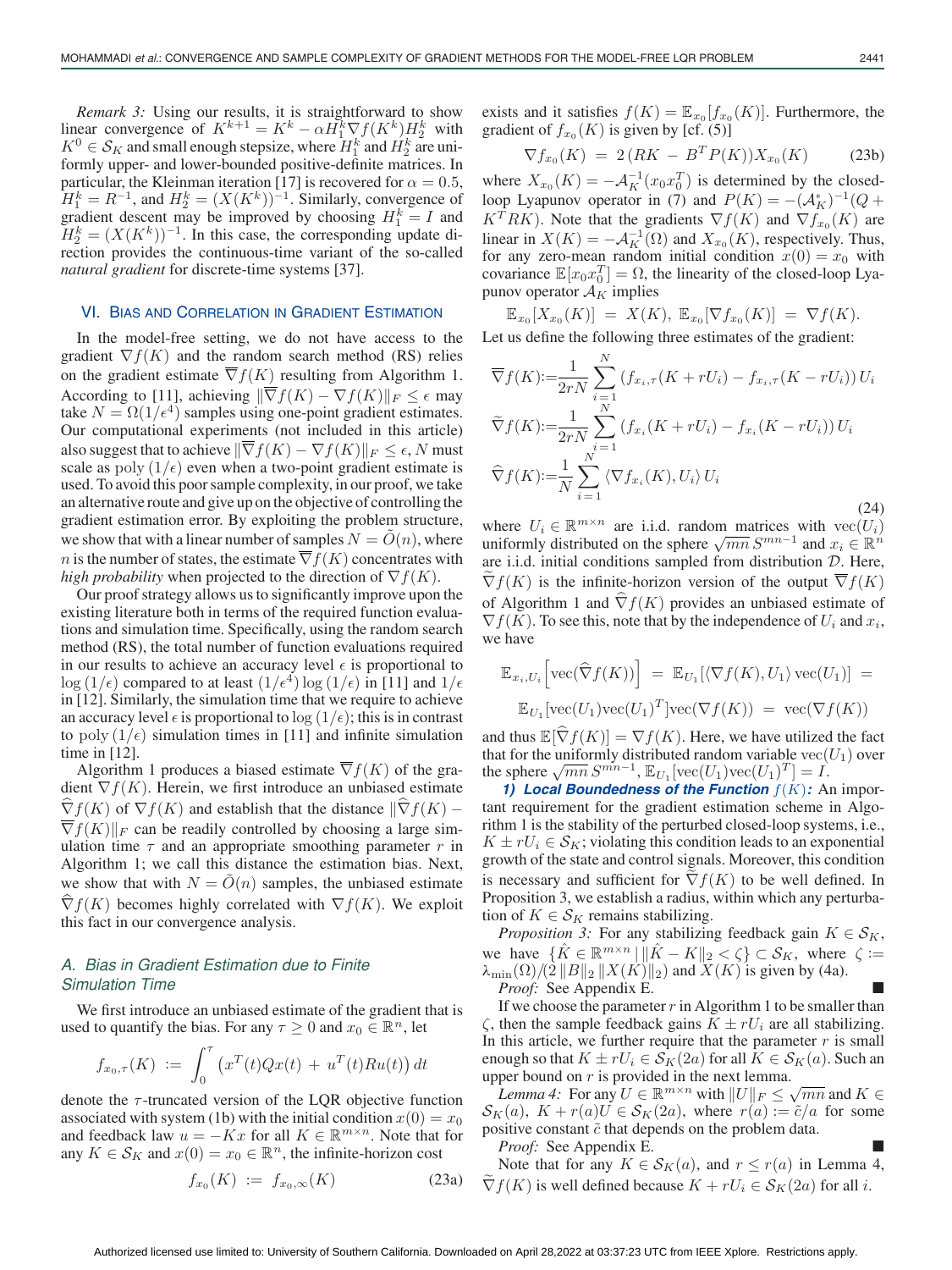*Remark 3:* Using our results, it is straightforward to show linear convergence of  $K^{k+1} = K^k - \alpha H_1^k \nabla f(K^k) H_2^k$  with  $K^0 \in \mathcal{S}_K$  and small enough stepsize, where  $H_1^k$  and  $H_2^k$  are uniformly upper- and lower-bounded positive-definite matrices. In particular, the Kleinman iteration [17] is recovered for  $\alpha = 0.5$ ,  $H_1^k = R^{-1}$ , and  $H_2^k = (X(K^k))^{-1}$ . Similarly, convergence of gradient descent may be improved by choosing  $H_1^k = I$  and  $H_2^k = (X(K^k))^{-1}$ . In this case, the corresponding update direction provides the continuous-time variant of the so-called *natural gradient* for discrete-time systems [37].

#### VI. BIAS AND CORRELATION IN GRADIENT ESTIMATION

In the model-free setting, we do not have access to the gradient  $\nabla f(K)$  and the random search method (RS) relies on the gradient estimate  $\nabla f(K)$  resulting from Algorithm 1. According to [11], achieving  $\|\nabla f(K) - \nabla f(K)\|_F \leq \epsilon$  may take  $N = \Omega(1/\epsilon^4)$  samples using one-point gradient estimates. Our computational experiments (not included in this article) also suggest that to achieve  $\|\nabla f(K) - \nabla f(K)\|_F \leq \epsilon, N$  must scale as poly  $(1/\epsilon)$  even when a two-point gradient estimate is used. To avoid this poor sample complexity, in our proof, we take an alternative route and give up on the objective of controlling the gradient estimation error. By exploiting the problem structure, we show that with a linear number of samples  $N = O(n)$ , where n is the number of states, the estimate  $\overline{\nabla}f(K)$  concentrates with *high probability* when projected to the direction of  $\nabla f(K)$ .

Our proof strategy allows us to significantly improve upon the existing literature both in terms of the required function evaluations and simulation time. Specifically, using the random search method (RS), the total number of function evaluations required in our results to achieve an accuracy level  $\epsilon$  is proportional to  $\log(1/\epsilon)$  compared to at least  $(1/\epsilon^4) \log(1/\epsilon)$  in [11] and  $1/\epsilon$ in [12]. Similarly, the simulation time that we require to achieve an accuracy level  $\epsilon$  is proportional to  $\log{(1/\epsilon)}$ ; this is in contrast to poly  $(1/\epsilon)$  simulation times in [11] and infinite simulation time in [12].

Algorithm 1 produces a biased estimate  $\overline{\nabla}f(K)$  of the gradient  $\nabla f(K)$ . Herein, we first introduce an unbiased estimate  $\nabla f(K)$  of  $\nabla f(K)$  and establish that the distance  $\|\nabla f(K) \overline{\nabla}f(K)\Vert_F$  can be readily controlled by choosing a large simulation time  $\tau$  and an appropriate smoothing parameter r in Algorithm 1; we call this distance the estimation bias. Next, we show that with  $N = O(n)$  samples, the unbiased estimate  $\nabla f(K)$  becomes highly correlated with  $\nabla f(K)$ . We exploit this fact in our convergence analysis.

# *A. Bias in Gradient Estimation due to Finite Simulation Time*

We first introduce an unbiased estimate of the gradient that is used to quantify the bias. For any  $\tau \geq 0$  and  $x_0 \in \mathbb{R}^n$ , let

$$
f_{x_0,\tau}(K) := \int_0^{\tau} \left( x^T(t)Qx(t) + u^T(t)Ru(t) \right) dt
$$

denote the  $\tau$ -truncated version of the LQR objective function associated with system (1b) with the initial condition  $x(0) = x_0$ and feedback law  $u = -Kx$  for all  $K \in \mathbb{R}^{m \times n}$ . Note that for any  $K \in \mathcal{S}_K$  and  $x(0) = x_0 \in \mathbb{R}^n$ , the infinite-horizon cost

$$
f_{x_0}(K) := f_{x_0,\infty}(K) \tag{23a}
$$

exists and it satisfies  $f(K) = \mathbb{E}_{x_0}[f_{x_0}(K)]$ . Furthermore, the gradient of  $f_{x_0}(K)$  is given by [cf. (5)]

$$
\nabla f_{x_0}(K) = 2(RK - B^T P(K))X_{x_0}(K) \tag{23b}
$$

where  $X_{x_0}(K) = -\mathcal{A}_K^{-1}(x_0 x_0^T)$  is determined by the closedloop Lyapunov operator in (7) and  $P(K) = -(\mathcal{A}_K^*)^{-1}(Q +$  $K^{T}RK$ ). Note that the gradients  $\nabla f(K)$  and  $\nabla f_{x_0}(K)$  are linear in  $X(K) = -\mathcal{A}_K^{-1}(\Omega)$  and  $X_{x_0}(K)$ , respectively. Thus, for any zero-mean random initial condition  $x(0) = x_0$  with covariance  $\mathbb{E}[x_0 x_0^T] = \Omega$ , the linearity of the closed-loop Lyapunov operator  $A_K$  implies

$$
\mathbb{E}_{x_0}[X_{x_0}(K)] = X(K), \ \mathbb{E}_{x_0}[\nabla f_{x_0}(K)] = \nabla f(K).
$$

Let us define the following three estimates of the gradient:

$$
\overline{\nabla} f(K) := \frac{1}{2rN} \sum_{i=1}^{N} (f_{x_i, \tau}(K + rU_i) - f_{x_i, \tau}(K - rU_i)) U_i
$$
  
\n
$$
\widetilde{\nabla} f(K) := \frac{1}{2rN} \sum_{i=1}^{N} (f_{x_i}(K + rU_i) - f_{x_i}(K - rU_i)) U_i
$$
  
\n
$$
\widehat{\nabla} f(K) := \frac{1}{N} \sum_{i=1}^{N} \langle \nabla f_{x_i}(K), U_i \rangle U_i
$$
\n(24)

where  $U_i \in \mathbb{R}^{m \times n}$  are i.i.d. random matrices with  $\text{vec}(U_i)$ uniformly distributed on the sphere  $\sqrt{mn} S^{mn-1}$  and  $x_i \in \mathbb{R}^n$ are i.i.d. initial conditions sampled from distribution  $D$ . Here,  $\nabla f(K)$  is the infinite-horizon version of the output  $\overline{\nabla} f(K)$ of Algorithm 1 and  $\nabla f(K)$  provides an unbiased estimate of  $\nabla f(K)$ . To see this, note that by the independence of  $U_i$  and  $x_i$ , we have

$$
\mathbb{E}_{x_i, U_i} \Big[ \text{vec}(\widehat{\nabla} f(K)) \Big] = \mathbb{E}_{U_1} [\langle \nabla f(K), U_1 \rangle \text{vec}(U_1)] =
$$
  

$$
\mathbb{E}_{U_1} [\text{vec}(U_1) \text{vec}(U_1)^T] \text{vec}(\nabla f(K)) = \text{vec}(\nabla f(K))
$$

and thus  $\mathbb{E}[\nabla f(K)] = \nabla f(K)$ . Here, we have utilized the fact that for the uniformly distributed random variable  $vec(U_1)$  over the sphere  $\sqrt{mn} S^{mn-1}$ ,  $\mathbb{E}_{U_1}[\text{vec}(U_1)\text{vec}(U_1)^T] = I$ .

**1) Local Boundedness of the Function**  $f(K)$ : An important requirement for the gradient estimation scheme in Algorithm 1 is the stability of the perturbed closed-loop systems, i.e.,  $K \pm rU_i \in \mathcal{S}_K$ ; violating this condition leads to an exponential growth of the state and control signals. Moreover, this condition is necessary and sufficient for  $\nabla f(K)$  to be well defined. In Proposition 3, we establish a radius, within which any perturbation of  $K \in S_K$  remains stabilizing.

*Proposition 3:* For any stabilizing feedback gain  $K \in S_K$ , we have  $\{\hat{K} \in \mathbb{R}^{m \times n} \mid \|\hat{K} - K\|_2 < \zeta\} \subset \mathcal{S}_K$ , where  $\zeta :=$  $\lambda_{\min}(\Omega)/2 ||B||_2 ||X(K)||_2$  and  $X(K)$  is given by (4a). Proof: See Appendix E.

If we choose the parameter  $r$  in Algorithm 1 to be smaller than  $\zeta$ , then the sample feedback gains  $K \pm rU_i$  are all stabilizing. In this article, we further require that the parameter  $r$  is small enough so that  $K \pm rU_i \in S_K(2a)$  for all  $K \in S_K(a)$ . Such an upper bound on  $r$  is provided in the next lemma.

*Lemma 4:* For any  $U \in \mathbb{R}^{m \times n}$  with  $||U||_F \leq \sqrt{mn}$  and  $K \in$  $S_K(a)$ ,  $K + r(a)U \in S_K(2a)$ , where  $r(a) := \tilde{c}/a$  for some positive constant  $\tilde{c}$  that depends on the problem data.

*Proof:* See Appendix E.

Note that for any  $K \in S_K(a)$ , and  $r \leq r(a)$  in Lemma 4,  $\nabla f(K)$  is well defined because  $K + rU_i \in S_K(2a)$  for all i.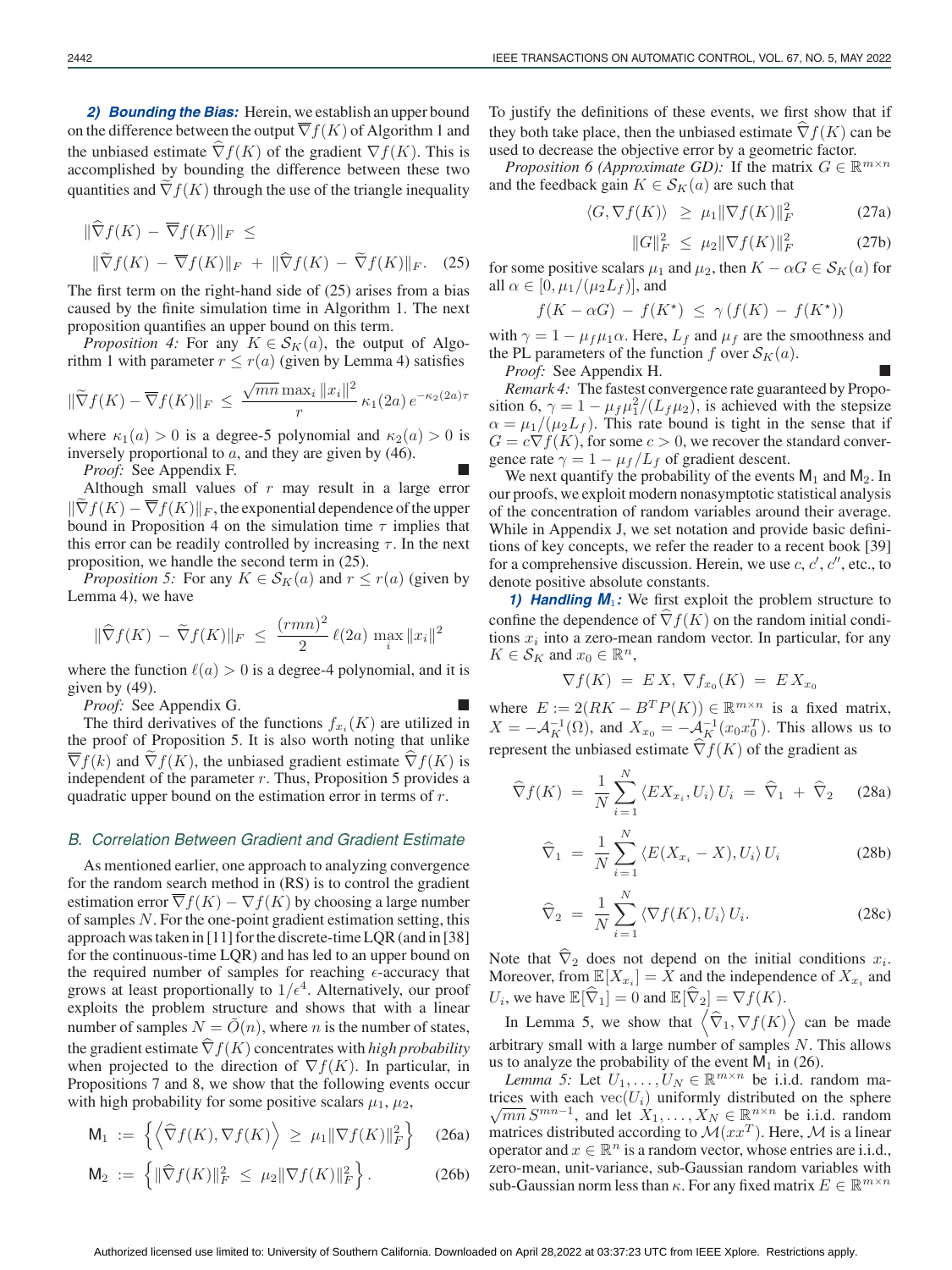*2) Bounding the Bias:* Herein, we establish an upper bound on the difference between the output  $\overline{\nabla}f(K)$  of Algorithm 1 and the unbiased estimate  $\hat{\nabla} f(K)$  of the gradient  $\nabla f(K)$ . This is accomplished by bounding the difference between these two quantities and  $\nabla f(K)$  through the use of the triangle inequality

$$
\|\widehat{\nabla}f(K) - \overline{\nabla}f(K)\|_{F} \le
$$
  

$$
\|\widetilde{\nabla}f(K) - \overline{\nabla}f(K)\|_{F} + \|\widehat{\nabla}f(K) - \widetilde{\nabla}f(K)\|_{F}.
$$
 (25)

The first term on the right-hand side of (25) arises from a bias caused by the finite simulation time in Algorithm 1. The next proposition quantifies an upper bound on this term.

*Proposition 4:* For any  $K \in S_K(a)$ , the output of Algorithm 1 with parameter  $r \le r(a)$  (given by Lemma 4) satisfies

$$
\|\widetilde{\nabla}f(K) - \overline{\nabla}f(K)\|_{F} \le \frac{\sqrt{mn} \max_{i} \|x_{i}\|^{2}}{r} \kappa_{1}(2a) e^{-\kappa_{2}(2a)\tau}
$$

where  $\kappa_1(a) > 0$  is a degree-5 polynomial and  $\kappa_2(a) > 0$  is inversely proportional to  $a$ , and they are given by (46).

*Proof:* See Appendix F.

Although small values of  $r$  may result in a large error  $\|\nabla f(K) - \nabla f(K)\|_F$ , the exponential dependence of the upper bound in Proposition 4 on the simulation time  $\tau$  implies that this error can be readily controlled by increasing  $\tau$ . In the next proposition, we handle the second term in (25).

*Proposition 5:* For any  $K \in S_K(a)$  and  $r \leq r(a)$  (given by Lemma 4), we have

$$
\|\widehat{\nabla}f(K) - \widetilde{\nabla}f(K)\|_{F} \le \frac{(rmn)^2}{2} \ell(2a) \max_{i} \|x_i\|^2
$$

where the function  $\ell(a) > 0$  is a degree-4 polynomial, and it is given by (49).

*Proof:* See Appendix G.

The third derivatives of the functions  $f_{x_i}(K)$  are utilized in the proof of Proposition 5. It is also worth noting that unlike  $\overline{\nabla}f(k)$  and  $\overline{\nabla}f(K)$ , the unbiased gradient estimate  $\widehat{\nabla}f(K)$  is independent of the parameter  $r$ . Thus, Proposition 5 provides a quadratic upper bound on the estimation error in terms of r.

# *B. Correlation Between Gradient and Gradient Estimate*

As mentioned earlier, one approach to analyzing convergence for the random search method in (RS) is to control the gradient estimation error  $\nabla f(K) - \nabla f(K)$  by choosing a large number of samples N. For the one-point gradient estimation setting, this approach was taken in [11] for the discrete-time LQR (and in [38] for the continuous-time LQR) and has led to an upper bound on the required number of samples for reaching  $\epsilon$ -accuracy that grows at least proportionally to  $1/\epsilon^4$ . Alternatively, our proof exploits the problem structure and shows that with a linear number of samples  $N = O(n)$ , where *n* is the number of states, the gradient estimate  $\widehat{\nabla} f(K)$  concentrates with *high probability* when projected to the direction of  $\nabla f(K)$ . In particular, in Propositions 7 and 8, we show that the following events occur with high probability for some positive scalars  $\mu_1$ ,  $\mu_2$ ,

$$
\mathsf{M}_1 := \left\{ \left\langle \widehat{\nabla} f(K), \nabla f(K) \right\rangle \geq \mu_1 \| \nabla f(K) \|_F^2 \right\} \quad (26a)
$$

$$
\mathsf{M}_2 := \left\{ \|\widehat{\nabla} f(K)\|_F^2 \le \mu_2 \|\nabla f(K)\|_F^2 \right\}.
$$
 (26b)

To justify the definitions of these events, we first show that if they both take place, then the unbiased estimate  $\nabla f(K)$  can be used to decrease the objective error by a geometric factor.

*Proposition 6 (Approximate GD):* If the matrix  $G \in \mathbb{R}^{m \times n}$ and the feedback gain  $K \in S_K(a)$  are such that

$$
\langle G, \nabla f(K) \rangle \ge \mu_1 \| \nabla f(K) \|_F^2 \tag{27a}
$$

$$
||G||_F^2 \le \mu_2 ||\nabla f(K)||_F^2 \tag{27b}
$$

for some positive scalars  $\mu_1$  and  $\mu_2$ , then  $K - \alpha G \in \mathcal{S}_K(a)$  for all  $\alpha \in [0, \mu_1/(\mu_2 L_f)]$ , and

$$
f(K - \alpha G) - f(K^*) \leq \gamma (f(K) - f(K^*))
$$

with  $\gamma = 1 - \mu_f \mu_1 \alpha$ . Here,  $L_f$  and  $\mu_f$  are the smoothness and the PL parameters of the function f over  $S_K(a)$ .

*Proof:* See Appendix H.

*Remark 4:* The fastest convergence rate guaranteed by Proposition 6,  $\gamma = 1 - \mu_f \mu_1^2 / (L_f \mu_2)$ , is achieved with the stepsize  $\alpha = \mu_1/(\mu_2 L_f)$ . This rate bound is tight in the sense that if  $G = c\nabla f(K)$ , for some  $c > 0$ , we recover the standard convergence rate  $\gamma = 1 - \mu_f / L_f$  of gradient descent.

We next quantify the probability of the events  $M_1$  and  $M_2$ . In our proofs, we exploit modern nonasymptotic statistical analysis of the concentration of random variables around their average. While in Appendix J, we set notation and provide basic definitions of key concepts, we refer the reader to a recent book [39] for a comprehensive discussion. Herein, we use  $c, c', c'',$  etc., to denote positive absolute constants.

**1) Handling M<sub>1</sub>:** We first exploit the problem structure to confine the dependence of  $\widehat{\nabla} f(K)$  on the random initial conditions  $x_i$  into a zero-mean random vector. In particular, for any  $K \in \mathcal{S}_K$  and  $x_0 \in \mathbb{R}^n$ ,

$$
\nabla f(K) = E X, \nabla f_{x_0}(K) = E X_{x_0}
$$

where  $E := 2(RK - B^T P(K)) \in \mathbb{R}^{m \times n}$  is a fixed matrix,  $X = -\mathcal{A}_K^{-1}(\Omega)$ , and  $X_{x_0} = -\mathcal{A}_K^{-1}(x_0 x_0^T)$ . This allows us to represent the unbiased estimate  $\widehat{\nabla} f(K)$  of the gradient as

$$
\widehat{\nabla} f(K) = \frac{1}{N} \sum_{i=1}^{N} \langle E X_{x_i}, U_i \rangle U_i = \widehat{\nabla}_1 + \widehat{\nabla}_2 \quad (28a)
$$

$$
\widehat{\nabla}_1 = \frac{1}{N} \sum_{i=1}^{N} \langle E(X_{x_i} - X), U_i \rangle U_i
$$
 (28b)

$$
\widehat{\nabla}_2 = \frac{1}{N} \sum_{i=1}^{N} \langle \nabla f(K), U_i \rangle U_i.
$$
 (28c)

Note that  $\nabla_2$  does not depend on the initial conditions  $x_i$ . Moreover, from  $\mathbb{E}[X_{x_i}] = X$  and the independence of  $X_{x_i}$  and  $U_i$ , we have  $\mathbb{E}[\widehat{\nabla}_1]=0$  and  $\mathbb{E}[\widehat{\nabla}_2] = \nabla f(K)$ .

In Lemma 5, we show that  $\left\langle \widehat{\nabla}_1, \nabla f(K) \right\rangle$  can be made arbitrary small with a large number of samples N. This allows us to analyze the probability of the event  $M_1$  in (26).

*Lemma 5:* Let  $U_1, \ldots, U_N \in \mathbb{R}^{m \times n}$  be i.i.d. random matrices with each vec $(U_i)$  uniformly distributed on the sphere  $\sqrt{mn} S^{mn-1}$ , and let  $X_1, \ldots, X_N \in \mathbb{R}^{n \times n}$  be i.i.d. random matrices distributed according to  $\mathcal{M}(xx^T)$ . Here,  $\mathcal M$  is a linear operator and  $x \in \mathbb{R}^n$  is a random vector, whose entries are i.i.d., zero-mean, unit-variance, sub-Gaussian random variables with sub-Gaussian norm less than  $\kappa$ . For any fixed matrix  $E \in \mathbb{R}^{m \times n}$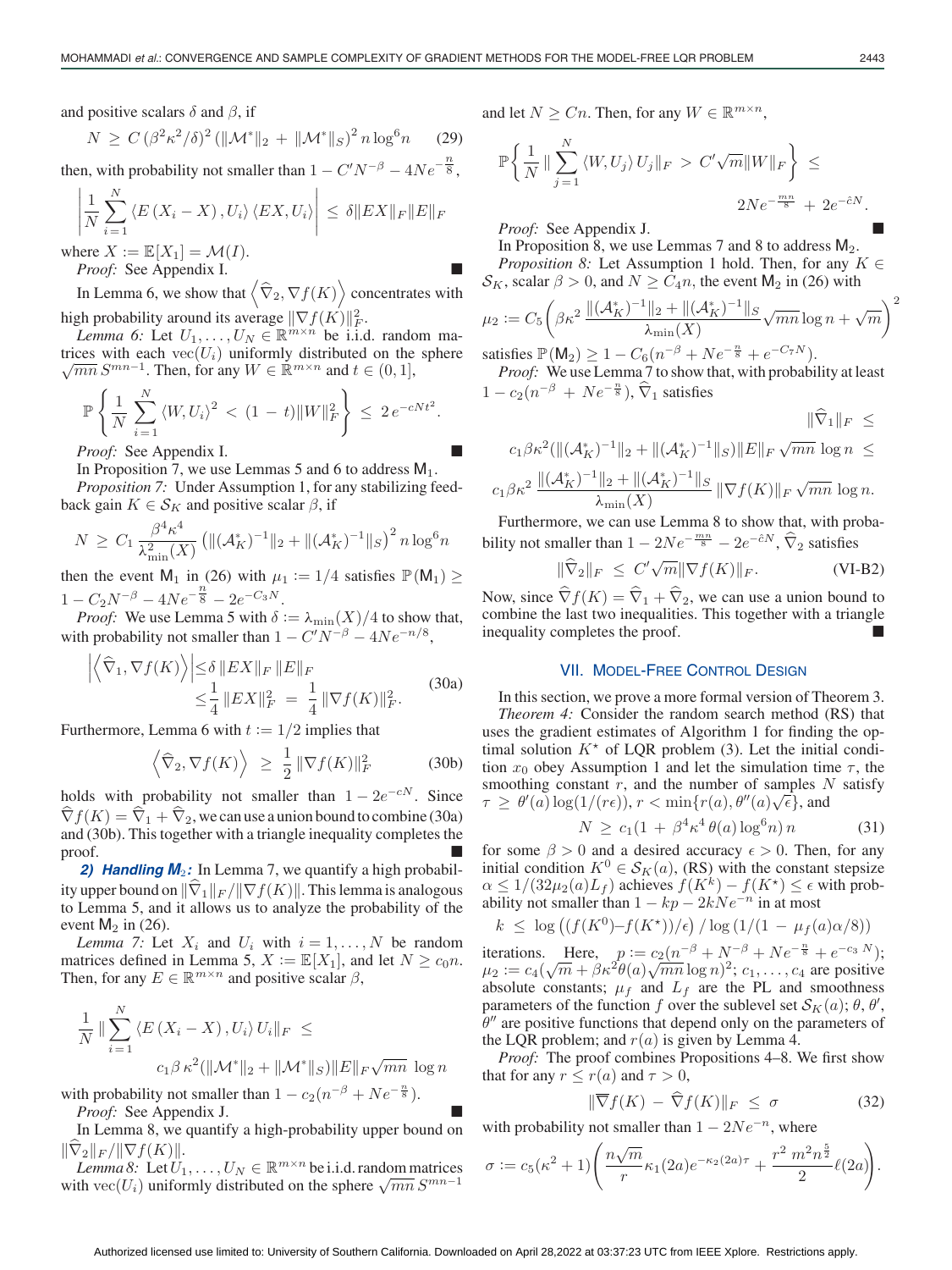and positive scalars  $\delta$  and  $\beta$ , if

$$
N \ge C \left(\beta^2 \kappa^2/\delta\right)^2 \left(\|\mathcal{M}^*\|_2 + \|\mathcal{M}^*\|_S\right)^2 n \log^6 n \qquad (29)
$$

then, with probability not smaller than  $1 - C'N^{-\beta} - 4Ne^{-\frac{n}{8}}$ ,

$$
\left| \frac{1}{N} \sum_{i=1}^{N} \left\langle E \left( X_i - X \right), U_i \right\rangle \left\langle E X, U_i \right\rangle \right| \leq \delta \| E X \|_F \| E \|_F
$$
\nwhere  $Y : \mathbb{F}[X] \to M(I)$ .

where  $X := \mathbb{E}[X_1] = \mathcal{M}(I)$ . *Proof:* See Appendix I.

In Lemma 6, we show that  $\left\langle \widehat{\nabla}_2, \nabla f(K) \right\rangle$  concentrates with

high probability around its average  $\|\nabla f(K)\|_F^2$ .<br>*Lemma 6:* Let  $U_1, \ldots, U_N \in \mathbb{R}^{m \times n}$  be i.i.d. random matrices with each vec $(U_i)$  uniformly distributed on the sphere  $\sqrt{mn} S^{mn-1}$ . Then, for any  $W \in \mathbb{R}^{m \times n}$  and  $t \in (0,1]$ ,

$$
\mathbb{P}\left\{\frac{1}{N}\sum_{i=1}^{N}\langle W,U_i\rangle^2\right| < (1-t)\|W\|_F^2\right\} \leq 2\,e^{-cNt^2}.
$$

*Proof:* See Appendix I.

In Proposition 7, we use Lemmas 5 and 6 to address  $M_1$ .

*Proposition 7:* Under Assumption 1, for any stabilizing feedback gain  $K \in S_K$  and positive scalar  $\beta$ , if

$$
N \geq C_1 \frac{\beta^4 \kappa^4}{\lambda_{\min}^2(X)} \left( \| (\mathcal{A}_K^*)^{-1} \|_2 + \| (\mathcal{A}_K^*)^{-1} \|_S \right)^2 n \log^6 n
$$

then the event M<sub>1</sub> in (26) with  $\mu_1 := 1/4$  satisfies  $\mathbb{P}(\mathsf{M}_1) \geq$  $1 - C_2 N^{-\beta} - 4Ne^{-\frac{n}{8}} - 2e^{-C_3N}.$ 

*Proof:* We use Lemma 5 with  $\delta := \lambda_{\min}(X)/4$  to show that, with probability not smaller than  $1 - C'N^{-\beta} - 4Ne^{-n/8}$ ,

$$
\left| \left\langle \widehat{\nabla}_1, \nabla f(K) \right\rangle \right| \leq \delta \left\| EX \right\|_F \left\| E \right\|_F
$$
  

$$
\leq \frac{1}{4} \left\| EX \right\|_F^2 = \frac{1}{4} \left\| \nabla f(K) \right\|_F^2.
$$
 (30a)

Furthermore, Lemma 6 with  $t := 1/2$  implies that

$$
\langle \hat{\nabla}_2, \nabla f(K) \rangle \geq \frac{1}{2} \|\nabla f(K)\|_F^2
$$
 (30b)

holds with probability not smaller than  $1 - 2e^{-cN}$ . Since  $\widehat{\nabla} f(K) = \widehat{\nabla}_1 + \widehat{\nabla}_2$ , we can use a union bound to combine (30a) and (30b). This together with a triangle inequality completes the proof.

**2) Handling**  $M_2$ **:** In Lemma 7, we quantify a high probability upper bound on  $\|\widehat{\nabla}_1\|_F / \| \nabla f(K)\|$ . This lemma is analogous to Lemma 5, and it allows us to analyze the probability of the event  $M_2$  in (26).

*Lemma 7:* Let  $X_i$  and  $U_i$  with  $i = 1, \ldots, N$  be random matrices defined in Lemma 5,  $X := \mathbb{E}[X_1]$ , and let  $N \ge c_0 n$ . Then, for any  $E \in \mathbb{R}^{m \times n}$  and positive scalar  $\beta$ ,

$$
\frac{1}{N} \|\sum_{i=1}^{N} \langle E(X_i - X), U_i \rangle U_i\|_F \le
$$
  

$$
c_1 \beta \kappa^2 (\|\mathcal{M}^*\|_2 + \|\mathcal{M}^*\|_S) \|E\|_F \sqrt{mn} \log n
$$

with probability not smaller than  $1 - c_2(n^{-\beta} + Ne^{-\frac{n}{8}})$ .

*Proof:* See Appendix J.

In Lemma 8, we quantify a high-probability upper bound on  $\|\nabla_2\|_F / \|\nabla f(K)\|.$ 

*Lemma 8:* Let  $U_1, \ldots, U_N \in \mathbb{R}^{m \times n}$  be i.i.d. random matrices with vec( $U_i$ ) uniformly distributed on the sphere  $\sqrt{mn} S^{mn-1}$ 

and let  $N \geq Cn$ . Then, for any  $W \in \mathbb{R}^{m \times n}$ ,

$$
\mathbb{P}\left\{\frac{1}{N} \|\sum_{j=1}^{N} \langle W, U_j \rangle U_j \|_F > C' \sqrt{m} \|W\|_F \right\} \leq 2Ne^{-\frac{mn}{8}} + 2e^{-\hat{c}N}.
$$

*Proof:* See Appendix J.

In Proposition 8, we use Lemmas 7 and 8 to address  $M_2$ . *Proposition 8:* Let Assumption 1 hold. Then, for any  $K \in$  $S_K$ , scalar  $\beta > 0$ , and  $N \geq C_4 n$ , the event  $M_2$  in (26) with

$$
\mu_2 := C_5 \left( \beta \kappa^2 \, \frac{\| (\mathcal{A}_K^*)^{-1} \|_2 + \| (\mathcal{A}_K^*)^{-1} \|_S}{\lambda_{\min}(X)} \sqrt{mn} \log n + \sqrt{m} \right)^2
$$

satisfies  $\mathbb{P}(\mathsf{M}_2) \ge 1 - C_6(n^{-\beta} + Ne^{-\frac{n}{8}} + e^{-C_7N}).$ *Proof:* We use Lemma 7 to show that, with probability at least

 $1 - c_2(n^{-\beta} + Ne^{-\frac{n}{8}}), \hat{\nabla}_1$  satisfies  $\|\widehat{\nabla}_1\|_F$  <

$$
c_1 \beta \kappa^2 (\|(\mathcal{A}_K^*)^{-1}\|_2 + \|(\mathcal{A}_K^*)^{-1}\|_S) \|E\|_F \sqrt{mn} \log n \le
$$
  

$$
c_1 \beta \kappa^2 \frac{\|(\mathcal{A}_K^*)^{-1}\|_2 + \|(\mathcal{A}_K^*)^{-1}\|_S}{\lambda_{\min}(X)} \|\nabla f(K)\|_F \sqrt{mn} \log n.
$$

Furthermore, we can use Lemma 8 to show that, with probability not smaller than  $1 - 2Ne^{-\frac{mn}{8}} - 2e^{-\hat{c}N}$ ,  $\hat{\nabla}_2$  satisfies

$$
\|\widehat{\nabla}_2\|_F \ \leq \ C'\sqrt{m}\|\nabla f(K)\|_F. \tag{VI-B2}
$$

Now, since  $\widehat{\nabla} f(K) = \widehat{\nabla}_1 + \widehat{\nabla}_2$ , we can use a union bound to combine the last two inequalities. This together with a triangle inequality completes the proof.

# VII. MODEL-FREE CONTROL DESIGN

In this section, we prove a more formal version of Theorem 3. *Theorem 4:* Consider the random search method (RS) that uses the gradient estimates of Algorithm 1 for finding the optimal solution  $K^*$  of LQR problem (3). Let the initial condition  $x_0$  obey Assumption 1 and let the simulation time  $\tau$ , the smoothing constant  $r$ , and the number of samples  $N$  satisfy smoothing constant r, and the number of samples  $\Gamma$ <br> $\tau \geq \theta'(a) \log(1/(r\epsilon)), r < \min\{r(a), \theta''(a)\sqrt{\epsilon}\}\)$ , and

$$
N \ge c_1 (1 + \beta^4 \kappa^4 \theta(a) \log^6 n) n \tag{31}
$$

for some  $\beta > 0$  and a desired accuracy  $\epsilon > 0$ . Then, for any initial condition  $K^0 \in S_K(a)$ , (RS) with the constant stepsize  $\alpha \leq 1/(32\mu_2(a)L_f)$  achieves  $f(K^k) - f(K^*) \leq \epsilon$  with probability not smaller than  $1 - kp - 2kNe^{-n}$  in at most

$$
k \leq \log \left( \left( f(K^0) - f(K^*) \right) / \epsilon \right) / \log \left( 1/(1 - \mu_f(a)\alpha/8) \right)
$$

iterations. Here,  $p := c_2(n^{-\beta} + N^{-\beta} + Ne^{-\frac{n}{8}} + e^{-c_3 N});$ nerations. Here,  $p := c_2(n + 1) + 1$  we  $s + e^{-s}$ ; <br>  $\mu_2 := c_4(\sqrt{m} + \beta \kappa^2 \theta(a) \sqrt{mn} \log n)^2$ ;  $c_1, \ldots, c_4$  are positive absolute constants;  $\mu_f$  and  $L_f$  are the PL and smoothness parameters of the function f over the sublevel set  $\mathcal{S}_K(a)$ ;  $\theta$ ,  $\theta'$ ,  $\theta''$  are positive functions that depend only on the parameters of the LQR problem; and  $r(a)$  is given by Lemma 4.

*Proof:* The proof combines Propositions 4–8. We first show that for any  $r \le r(a)$  and  $\tau > 0$ ,

$$
\|\overline{\nabla}f(K) - \widehat{\nabla}f(K)\|_{F} \le \sigma \tag{32}
$$

with probability not smaller than  $1 - 2Ne^{-n}$ , where

$$
\sigma := c_5(\kappa^2 + 1) \left( \frac{n\sqrt{m}}{r} \kappa_1(2a) e^{-\kappa_2(2a)\tau} + \frac{r^2 m^2 n^{\frac{5}{2}}}{2} \ell(2a) \right).
$$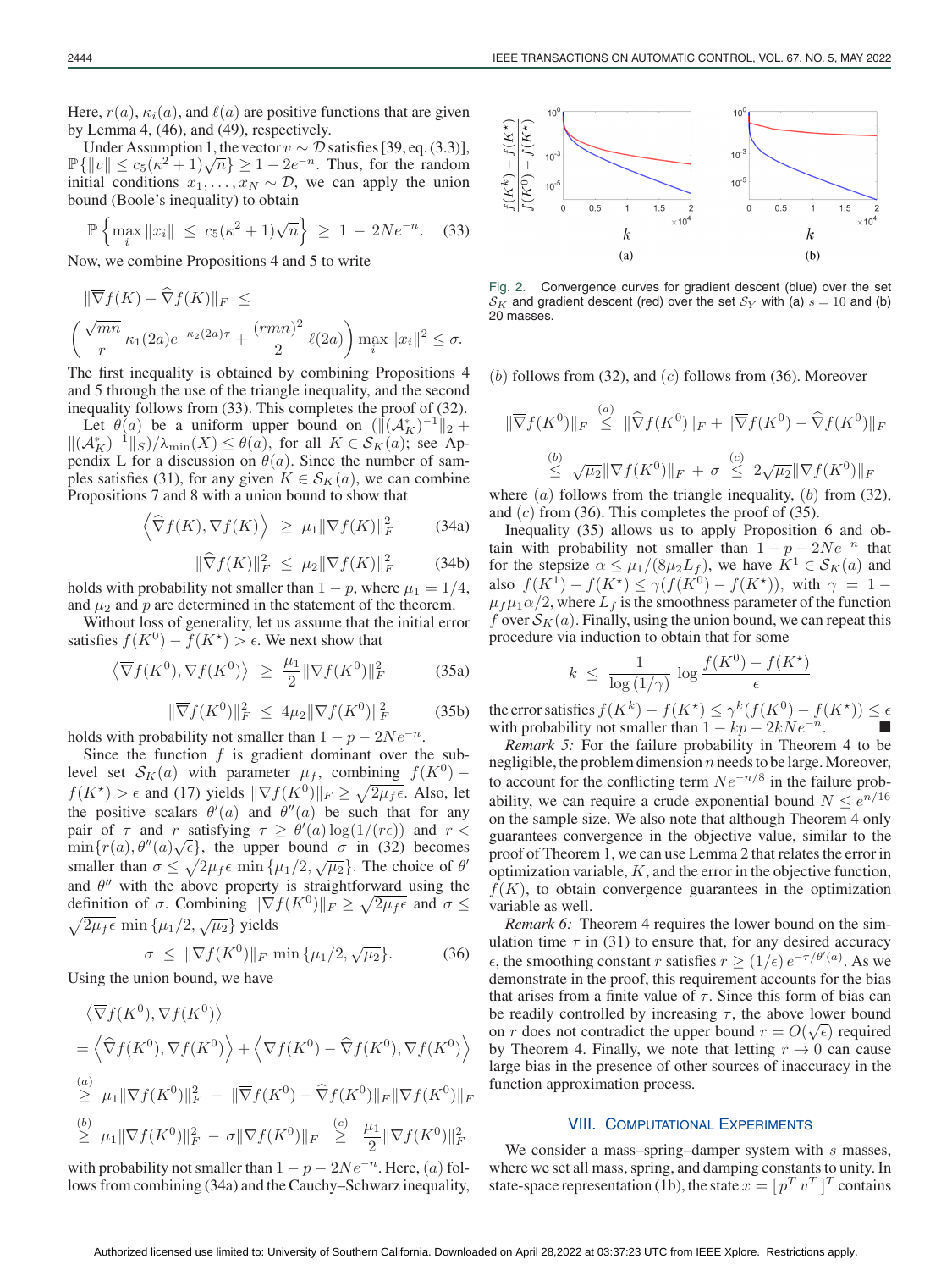Here,  $r(a)$ ,  $\kappa_i(a)$ , and  $\ell(a)$  are positive functions that are given by Lemma 4, (46), and (49), respectively.

Under Assumption 1, the vector  $v \sim \mathcal{D}$  satisfies [39, eq. (3.3)],  $\mathbb{P}\{\Vert v\Vert \leq c_5(\kappa^2+1)\sqrt{n}\} \geq 1-2e^{-n}$ . Thus, for the random initial conditions  $x_1, \ldots, x_N \sim \mathcal{D}$ , we can apply the union bound (Boole's inequality) to obtain

$$
\mathbb{P}\left\{\max_{i} \|x_i\| \le c_5(\kappa^2 + 1)\sqrt{n}\right\} \ge 1 - 2Ne^{-n}.
$$
 (33)

Now, we combine Propositions 4 and 5 to write

$$
\|\overline{\nabla}f(K) - \widehat{\nabla}f(K)\|_{F} \le
$$
  

$$
\left(\frac{\sqrt{mn}}{r} \kappa_{1}(2a)e^{-\kappa_{2}(2a)\tau} + \frac{(rmn)^{2}}{2} \ell(2a)\right) \max_{i} \|x_{i}\|^{2} \le \sigma.
$$

The first inequality is obtained by combining Propositions 4 and 5 through the use of the triangle inequality, and the second inequality follows from (33). This completes the proof of (32).

Let  $\theta(a)$  be a uniform upper bound on  $(\|({\mathcal A}_K^*)^{-1}\|_2 +$  $\|(\mathcal{A}_{K}^{*})^{-1}\|_{S}^{2}/\lambda_{\min}(X) \leq \theta(a),$  for all  $K \in \mathcal{S}_{K}^{(n)}(a),$  see Appendix L for a discussion on  $\theta(a)$ . Since the number of samples satisfies (31), for any given  $K \in S<sub>K</sub>(a)$ , we can combine Propositions 7 and 8 with a union bound to show that

$$
\langle \hat{\nabla} f(K), \nabla f(K) \rangle \ge \mu_1 || \nabla f(K) ||_F^2
$$
 (34a)

$$
\|\widehat{\nabla} f(K)\|_{F}^{2} \le \mu_{2} \|\nabla f(K)\|_{F}^{2} \qquad (34b)
$$

holds with probability not smaller than  $1 - p$ , where  $\mu_1 = 1/4$ , and  $\mu_2$  and p are determined in the statement of the theorem.

Without loss of generality, let us assume that the initial error satisfies  $f(K^0) - f(K^*) > \epsilon$ . We next show that

$$
\langle \overline{\nabla} f(K^0), \nabla f(K^0) \rangle \ge \frac{\mu_1}{2} {\|\nabla f(K^0)\|_F^2}
$$
 (35a)

$$
\|\overline{\nabla} f(K^0)\|_F^2 \ \leq \ 4\mu_2 \|\nabla f(K^0)\|_F^2 \tag{35b}
$$

holds with probability not smaller than  $1 - p - 2Ne^{-n}$ .

Since the function  $f$  is gradient dominant over the sublevel set  $S_K(a)$  with parameter  $\mu_f$ , combining  $f(K^0)$  –  $f(K^*) > \epsilon$  and (17) yields  $\|\nabla f(K^0)\|_F \geq \sqrt{2\mu_f \epsilon}$ . Also, let the positive scalars  $\theta'(a)$  and  $\theta''(a)$  be such that for any pair of  $\tau$  and  $r$  satisfying  $\tau \geq \theta'(a) \log(1/(r\epsilon))$  and  $r <$ pair of  $\tau$  and  $r$  satisfying  $\tau \ge \sigma(a) \log(1/(r\epsilon))$  and  $r < \min\{r(a), \theta''(a)\sqrt{\epsilon}\}\$ , the upper bound  $\sigma$  in (32) becomes smaller than  $\sigma \le \sqrt{2\mu_f \epsilon}$  min  $\{\mu_1/2, \sqrt{\mu_2}\}\)$ . The choice of  $\theta'$ and  $\theta''$  with the above property is straightforward using the definition of  $\sigma$ . Combining  $\|\nabla f(K^0)\|_F \geq \sqrt{2\mu_f \epsilon}$  and  $\sigma \leq$  $\sqrt{2\mu_f \epsilon}$  min  $\{\mu_1/2, \sqrt{\mu_2}\}\$  yields

$$
\sigma \leq \|\nabla f(K^0)\|_F \min \{\mu_1/2, \sqrt{\mu_2}\}.
$$
 (36)

Using the union bound, we have

$$
\langle \overline{\nabla} f(K^0), \nabla f(K^0) \rangle
$$
  
=\langle \widehat{\nabla} f(K^0), \nabla f(K^0) \rangle + \langle \overline{\nabla} f(K^0) - \widehat{\nabla} f(K^0), \nabla f(K^0) \rangle  
\stackrel{(a)}{\geq} \mu\_1 || \nabla f(K^0) ||\_F^2 - || \overline{\nabla} f(K^0) - \widehat{\nabla} f(K^0) ||\_F || \nabla f(K^0) ||\_F  
\stackrel{(b)}{\geq} \mu\_1 || \nabla f(K^0) ||\_F^2 - \sigma || \nabla f(K^0) ||\_F \stackrel{(c)}{\geq} \frac{\mu\_1}{2} || \nabla f(K^0) ||\_F^2

with probability not smaller than  $1 - p - 2Ne^{-n}$ . Here, (a) follows from combining (34a) and the Cauchy–Schwarz inequality,



Fig. 2. Convergence curves for gradient descent (blue) over the set  $S_K$  and gradient descent (red) over the set  $S_Y$  with (a)  $s = 10$  and (b) 20 masses.

(b) follows from (32), and (c) follows from (36). Moreover

$$
\|\overline{\nabla}f(K^{0})\|_{F} \stackrel{(a)}{\leq} \|\widehat{\nabla}f(K^{0})\|_{F} + \|\overline{\nabla}f(K^{0}) - \widehat{\nabla}f(K^{0})\|_{F}
$$
  

$$
\stackrel{(b)}{\leq} \sqrt{\mu_{2}}\|\nabla f(K^{0})\|_{F} + \sigma \stackrel{(c)}{\leq} 2\sqrt{\mu_{2}}\|\nabla f(K^{0})\|_{F}
$$

where  $(a)$  follows from the triangle inequality,  $(b)$  from (32), and  $(c)$  from (36). This completes the proof of (35).

Inequality (35) allows us to apply Proposition 6 and obtain with probability not smaller than  $1 - p - 2Ne^{-n}$  that for the stepsize  $\alpha \leq \mu_1/(8\mu_2 L_f)$ , we have  $\overline{K}^1 \in S_K(a)$  and also  $f(K^1) - f(K^*) \leq \gamma(f(K^0) - f(K^*))$ , with  $\gamma = 1 \mu_f \mu_1 \alpha/2$ , where  $L_f$  is the smoothness parameter of the function f over  $S_K(a)$ . Finally, using the union bound, we can repeat this procedure via induction to obtain that for some

$$
k \ \leq \ \frac{1}{\log\left(1/\gamma\right)} \, \log \frac{f(K^0) - f(K^\star)}{\epsilon}
$$

the error satisfies  $f(K^k) - f(K^*) \leq \gamma^k (f(K^0) - f(K^*)) \leq \epsilon$ with probability not smaller than  $1 - kp - 2kNe^{-n}$ .

*Remark 5:* For the failure probability in Theorem 4 to be negligible, the problem dimension  $n$  needs to be large. Moreover, to account for the conflicting term  $Ne^{-n/8}$  in the failure probability, we can require a crude exponential bound  $N \le e^{n/16}$ on the sample size. We also note that although Theorem 4 only guarantees convergence in the objective value, similar to the proof of Theorem 1, we can use Lemma 2 that relates the error in optimization variable,  $K$ , and the error in the objective function,  $f(K)$ , to obtain convergence guarantees in the optimization variable as well.

*Remark 6:* Theorem 4 requires the lower bound on the simulation time  $\tau$  in (31) to ensure that, for any desired accuracy  $\epsilon$ , the smoothing constant r satisfies  $r \ge (1/\epsilon) e^{-\tau/\theta'(a)}$ . As we demonstrate in the proof, this requirement accounts for the bias that arises from a finite value of  $\tau$ . Since this form of bias can be readily controlled by increasing  $\tau$ , the above lower bound be readily controlled by increasing  $\tau$ , the above lower bound<br>on r does not contradict the upper bound  $r = O(\sqrt{\epsilon})$  required by Theorem 4. Finally, we note that letting  $r \to 0$  can cause large bias in the presence of other sources of inaccuracy in the function approximation process.

#### VIII. COMPUTATIONAL EXPERIMENTS

We consider a mass–spring–damper system with s masses, where we set all mass, spring, and damping constants to unity. In state-space representation (1b), the state  $x = [p^T v^T]^T$  contains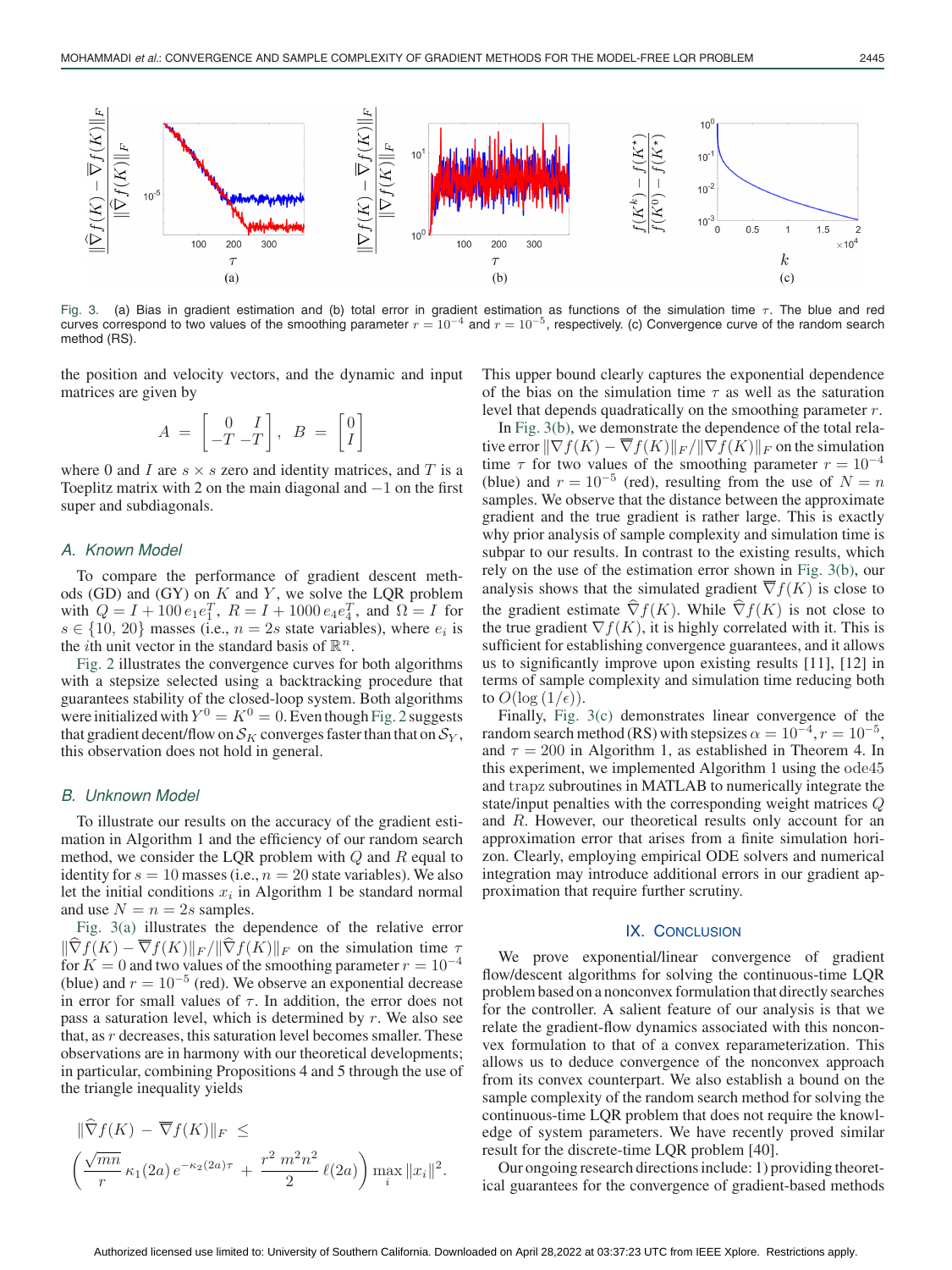

Fig. 3. (a) Bias in gradient estimation and (b) total error in gradient estimation as functions of the simulation time  $\tau$ . The blue and red curves correspond to two values of the smoothing parameter  $r = 10^{-4}$  and  $r = 10^{-5}$ , respectively. (c) Convergence curve of the random search method (RS).

the position and velocity vectors, and the dynamic and input matrices are given by

$$
A = \begin{bmatrix} 0 & I \\ -T & -T \end{bmatrix}, B = \begin{bmatrix} 0 \\ I \end{bmatrix}
$$

where 0 and *I* are  $s \times s$  zero and identity matrices, and *T* is a Toeplitz matrix with 2 on the main diagonal and  $-1$  on the first super and subdiagonals.

#### *A. Known Model*

To compare the performance of gradient descent methods (GD) and (GY) on  $K$  and  $Y$ , we solve the LQR problem with  $Q = I + 100 e_1 e_1^T$ ,  $R = I + 1000 e_4 e_4^T$ , and  $\Omega = I$  for  $s \in \{10, 20\}$  masses (i.e.,  $n = 2s$  state variables), where  $e_i$  is the *i*th unit vector in the standard basis of  $\mathbb{R}^n$ .

Fig. 2 illustrates the convergence curves for both algorithms with a stepsize selected using a backtracking procedure that guarantees stability of the closed-loop system. Both algorithms were initialized with  $Y^0 = K^0 = 0$ . Even though Fig. 2 suggests that gradient decent/flow on  $\mathcal{S}_K$  converges faster than that on  $\mathcal{S}_Y$ , this observation does not hold in general.

#### *B. Unknown Model*

To illustrate our results on the accuracy of the gradient estimation in Algorithm 1 and the efficiency of our random search method, we consider the LQR problem with  $Q$  and  $R$  equal to identity for  $s = 10$  masses (i.e.,  $n = 20$  state variables). We also let the initial conditions  $x_i$  in Algorithm 1 be standard normal and use  $N = n = 2s$  samples.

Fig. 3(a) illustrates the dependence of the relative error  $\|\nabla f(K) - \nabla f(K)\|_F / \|\nabla f(K)\|_F$  on the simulation time  $\tau$ for  $K = 0$  and two values of the smoothing parameter  $r = 10^{-4}$ (blue) and  $r = 10^{-5}$  (red). We observe an exponential decrease in error for small values of  $\tau$ . In addition, the error does not pass a saturation level, which is determined by  $r$ . We also see that, as r decreases, this saturation level becomes smaller. These observations are in harmony with our theoretical developments; in particular, combining Propositions 4 and 5 through the use of the triangle inequality yields

$$
\|\widehat{\nabla}f(K) - \overline{\nabla}f(K)\|_{F} \le
$$
  

$$
\left(\frac{\sqrt{mn}}{r} \kappa_{1}(2a) e^{-\kappa_{2}(2a)\tau} + \frac{r^{2}m^{2}n^{2}}{2} \ell(2a)\right) \max_{i} \|x_{i}\|^{2}.
$$

This upper bound clearly captures the exponential dependence of the bias on the simulation time  $\tau$  as well as the saturation level that depends quadratically on the smoothing parameter r.

In Fig. 3(b), we demonstrate the dependence of the total relative error  $\|\nabla f(K) - \overline{\nabla} f(K)\|_F / \|\nabla f(K)\|_F$  on the simulation time  $\tau$  for two values of the smoothing parameter  $r = 10^{-4}$ (blue) and  $r = 10^{-5}$  (red), resulting from the use of  $N = n$ samples. We observe that the distance between the approximate gradient and the true gradient is rather large. This is exactly why prior analysis of sample complexity and simulation time is subpar to our results. In contrast to the existing results, which rely on the use of the estimation error shown in Fig. 3(b), our analysis shows that the simulated gradient  $\overline{\nabla}f(K)$  is close to the gradient estimate  $\hat{\nabla} f(K)$ . While  $\hat{\nabla} f(K)$  is not close to the true gradient  $\nabla f(K)$ , it is highly correlated with it. This is sufficient for establishing convergence guarantees, and it allows us to significantly improve upon existing results [11], [12] in terms of sample complexity and simulation time reducing both to  $O(\log{(1/\epsilon)})$ .

Finally, Fig. 3(c) demonstrates linear convergence of the random search method (RS) with stepsizes  $\alpha = 10^{-4}$ ,  $r = 10^{-5}$ , and  $\tau = 200$  in Algorithm 1, as established in Theorem 4. In this experiment, we implemented Algorithm 1 using the ode45 and trapz subroutines in MATLAB to numerically integrate the state/input penalties with the corresponding weight matrices Q and R. However, our theoretical results only account for an approximation error that arises from a finite simulation horizon. Clearly, employing empirical ODE solvers and numerical integration may introduce additional errors in our gradient approximation that require further scrutiny.

#### IX. CONCLUSION

We prove exponential/linear convergence of gradient flow/descent algorithms for solving the continuous-time LQR problem based on a nonconvex formulation that directly searches for the controller. A salient feature of our analysis is that we relate the gradient-flow dynamics associated with this nonconvex formulation to that of a convex reparameterization. This allows us to deduce convergence of the nonconvex approach from its convex counterpart. We also establish a bound on the sample complexity of the random search method for solving the continuous-time LQR problem that does not require the knowledge of system parameters. We have recently proved similar result for the discrete-time LQR problem [40].

Our ongoing research directions include: 1) providing theoretical guarantees for the convergence of gradient-based methods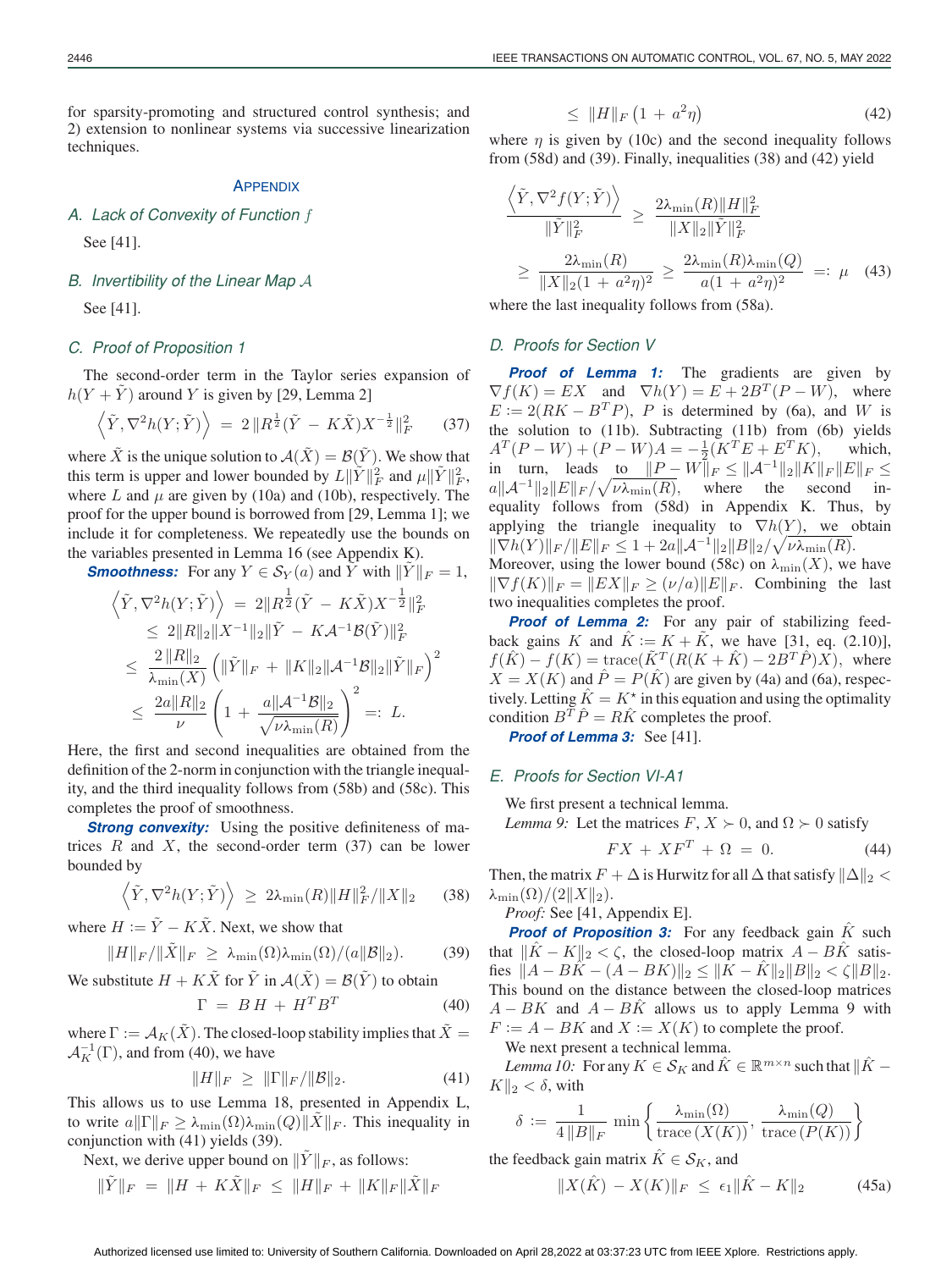for sparsity-promoting and structured control synthesis; and 2) extension to nonlinear systems via successive linearization techniques.

#### **APPENDIX**

*A. Lack of Convexity of Function* f

See [41].

# *B. Invertibility of the Linear Map* A

See [41].

#### *C. Proof of Proposition 1*

The second-order term in the Taylor series expansion of  $h(Y + \hat{Y})$  around Y is given by [29, Lemma 2]

$$
\left\langle \tilde{Y}, \nabla^2 h(Y; \tilde{Y}) \right\rangle = 2 \|R^{\frac{1}{2}}(\tilde{Y} - K\tilde{X})X^{-\frac{1}{2}}\|_F^2 \qquad (37)
$$

where X is the unique solution to  $A(X) = B(Y)$ . We show that this term is upper and lower bounded by  $L\|\tilde{Y}\|_F^2$  and  $\mu\|\tilde{Y}\|_F^2$ . where  $L$  and  $\mu$  are given by (10a) and (10b), respectively. The proof for the upper bound is borrowed from [29, Lemma 1]; we include it for completeness. We repeatedly use the bounds on the variables presented in Lemma 16 (see Appendix K).

**Smoothness:** For any  $Y \in S_Y(a)$  and Y with  $||Y||_F = 1$ ,

$$
\left\langle \tilde{Y}, \nabla^2 h(Y; \tilde{Y}) \right\rangle = 2\|R^{\frac{1}{2}}(\tilde{Y} - K\tilde{X})X^{-\frac{1}{2}}\|_F^2
$$
  
\n
$$
\leq 2\|R\|_2 \|X^{-1}\|_2 \|\tilde{Y} - K\mathcal{A}^{-1}\mathcal{B}(\tilde{Y})\|_F^2
$$
  
\n
$$
\leq \frac{2\|R\|_2}{\lambda_{\min}(X)} \left( \|\tilde{Y}\|_F + \|K\|_2 \|\mathcal{A}^{-1}\mathcal{B}\|_2 \|\tilde{Y}\|_F \right)^2
$$
  
\n
$$
\leq \frac{2a\|R\|_2}{\nu} \left( 1 + \frac{a\|\mathcal{A}^{-1}\mathcal{B}\|_2}{\sqrt{\nu \lambda_{\min}(R)}} \right)^2 =: L.
$$

Here, the first and second inequalities are obtained from the definition of the 2-norm in conjunction with the triangle inequality, and the third inequality follows from (58b) and (58c). This completes the proof of smoothness.

**Strong convexity:** Using the positive definiteness of matrices  $R$  and  $X$ , the second-order term (37) can be lower bounded by

$$
\left\langle \tilde{Y}, \nabla^2 h(Y; \tilde{Y}) \right\rangle \ge 2\lambda_{\min}(R) \|H\|_F^2 / \|X\|_2 \qquad (38)
$$

where  $H := Y - KX$ . Next, we show that

$$
||H||_F/||\tilde{X}||_F \ge \lambda_{\min}(\Omega)\lambda_{\min}(\Omega)/(a||\mathcal{B}||_2). \tag{39}
$$

We substitute  $H + K\tilde{X}$  for  $\tilde{Y}$  in  $\mathcal{A}(\tilde{X}) = \mathcal{B}(\tilde{Y})$  to obtain

$$
\Gamma = B H + H^T B^T \tag{40}
$$

where  $\Gamma := \mathcal{A}_K(\tilde{X})$ . The closed-loop stability implies that  $\tilde{X} =$  $\mathcal{A}_K^{-1}(\Gamma)$ , and from (40), we have

$$
||H||_F \ge ||\Gamma||_F / ||\mathcal{B}||_2. \tag{41}
$$

This allows us to use Lemma 18, presented in Appendix L, to write  $a\|\Gamma\|_F \geq \lambda_{\min}(\Omega)\lambda_{\min}(Q)\|\tilde{X}\|_F$ . This inequality in conjunction with (41) yields (39).

Next, we derive upper bound on  $||Y||_F$ , as follows:

$$
\|\tilde{Y}\|_{F} \ = \ \|H \ + \ K\tilde{X}\|_{F} \ \leq \ \|H\|_{F} \ + \ \|K\|_{F}\|\tilde{X}\|_{F}
$$

$$
\leq \|H\|_F \left(1 + a^2 \eta\right) \tag{42}
$$

where  $\eta$  is given by (10c) and the second inequality follows from (58d) and (39). Finally, inequalities (38) and (42) yield

$$
\frac{\langle \tilde{Y}, \nabla^2 f(Y; \tilde{Y}) \rangle}{\|\tilde{Y}\|_{F}^2} \ge \frac{2\lambda_{\min}(R)\|H\|_{F}^2}{\|X\|_{2}\|\tilde{Y}\|_{F}^2}
$$
  

$$
\ge \frac{2\lambda_{\min}(R)}{\|X\|_{2}(1 + a^2\eta)^2} \ge \frac{2\lambda_{\min}(R)\lambda_{\min}(Q)}{a(1 + a^2\eta)^2} =: \mu \quad (43)
$$

where the last inequality follows from (58a).

#### *D. Proofs for Section V*

**Proof of Lemma 1:** The gradients are given by  $\nabla f(K) = EX$  and  $\nabla h(Y) = E + 2B^{T}(P - W)$ , where  $E := 2(RK - B<sup>T</sup>P)$ , P is determined by (6a), and W is the solution to (11b). Subtracting (11b) from (6b) yields  $A^T (P - W) + (P - W) A = -\frac{1}{2} (K^T E + E^T K)$ , which, in turn, leads to  $||P - W||_F \le ||A^{-1}||_2 ||K||_F ||E||_F \le$  $a\|\mathcal{A}^{-1}\|_2\|E\|_F/\sqrt{\nu\lambda_{\min}(R)},$ where the second inequality follows from (58d) in Appendix K. Thus, by applying the triangle inequality to  $\nabla h(Y)$ , we obtain  $\|\nabla h(Y)\|_F / \|E\|_F \leq 1 + 2a \|\mathcal{A}^{-1}\|_2 \|B\|_2 / \sqrt{\nu \lambda_{\min}(R)}$ .

Moreover, using the lower bound (58c) on  $\lambda_{\min}(X)$ , we have  $\|\nabla f(K)\|_F = \|EX\|_F \geq (\nu/a)\|E\|_F$ . Combining the last two inequalities completes the proof.

*Proof of Lemma 2:* For any pair of stabilizing feedback gains K and  $\hat{K} := K + \tilde{K}$ , we have [31, eq. (2.10)],  $f(\hat{K}) - f(K) = \text{trace}(\tilde{K}^T (R(K + \hat{K}) - 2B^T \hat{P})X),$  where  $X = X(K)$  and  $\hat{P} = P(\hat{K})$  are given by (4a) and (6a), respectively. Letting  $\hat{K} = K^*$  in this equation and using the optimality condition  $B^T \hat{P} = R\hat{K}$  completes the proof.

*Proof of Lemma 3:* See [41].

# *E. Proofs for Section VI-A1*

We first present a technical lemma.

*Lemma 9:* Let the matrices  $F, X \succ 0$ , and  $\Omega \succ 0$  satisfy

$$
FX + XF^T + \Omega = 0. \tag{44}
$$

Then, the matrix  $F + \Delta$  is Hurwitz for all  $\Delta$  that satisfy  $\|\Delta\|_2$  <  $\lambda_{\min}(\Omega)/(2||X||_2).$ 

*Proof:* See [41, Appendix E].

**Proof of Proposition 3:** For any feedback gain K such that  $||K - K||_2 < \zeta$ , the closed-loop matrix  $A - B\hat{K}$  satisfies  $||A - B\hat{K} - (A - BK)||_2 \le ||K - \hat{K}||_2 ||B||_2 < \zeta ||B||_2$ . This bound on the distance between the closed-loop matrices  $A - BK$  and  $A - B\hat{K}$  allows us to apply Lemma 9 with  $F := A - BK$  and  $X := X(K)$  to complete the proof.

We next present a technical lemma.

*Lemma 10:* For any  $K \in \mathcal{S}_K$  and  $\hat{K} \in \mathbb{R}^{m \times n}$  such that  $\|\hat{K} - \hat{K}\|$  $K\|_{2} < \delta$ , with

$$
\delta := \frac{1}{4 \, \|B\|_F} \min \left\{ \frac{\lambda_{\min}(\Omega)}{\text{trace}\left(X(K)\right)}, \frac{\lambda_{\min}(Q)}{\text{trace}\left(P(K)\right)} \right\}
$$

the feedback gain matrix  $\hat{K} \in \mathcal{S}_K$ , and

$$
||X(\hat{K}) - X(K)||_F \le \epsilon_1 ||\hat{K} - K||_2 \tag{45a}
$$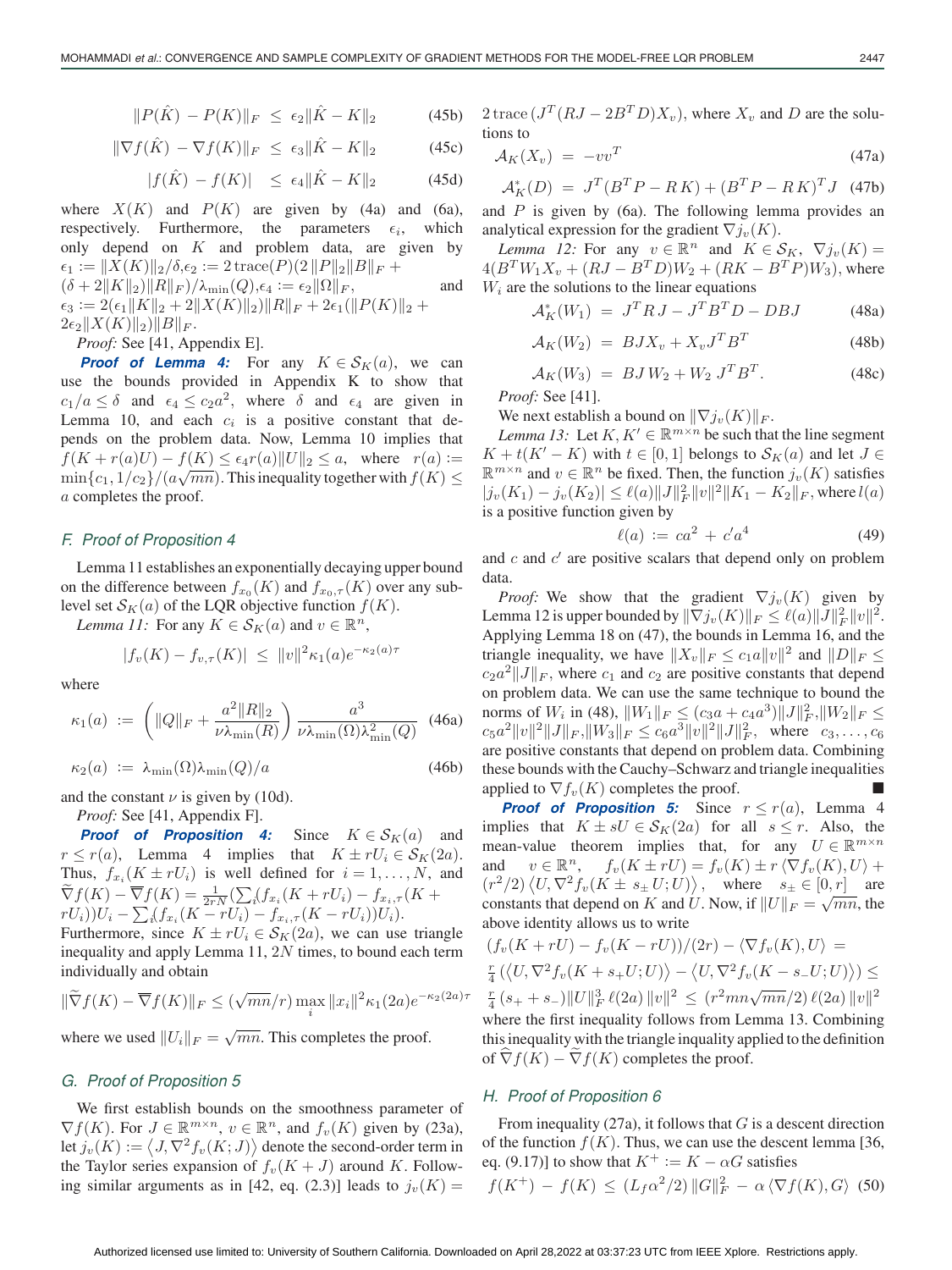$$
||P(\hat{K}) - P(K)||_F \le \epsilon_2 ||\hat{K} - K||_2 \tag{45b}
$$

$$
\|\nabla f(\hat{K}) - \nabla f(K)\|_{F} \le \epsilon_3 \|\hat{K} - K\|_{2} \tag{45c}
$$

$$
|f(\hat{K}) - f(K)| \le \epsilon_4 \|\hat{K} - K\|_2 \tag{45d}
$$

where  $X(K)$  and  $P(K)$  are given by (4a) and (6a), respectively. Furthermore, the parameters  $\epsilon_i$ , which only depend on  $K$  and problem data, are given by  $\epsilon_1 := \|X(K)\|_2 / \delta, \epsilon_2 := 2 \operatorname{trace}(P)(2 \|P\|_2 \|B\|_F +$ 

 $(\delta + 2||K||_2)||R||_F)/\lambda_{\min}(Q), \epsilon_4 := \epsilon_2||\Omega||_F,$  and  $\epsilon_3 := 2(\epsilon_1 \|K\|_2 + 2 \|X(K)\|_2) \|R\|_F + 2\epsilon_1 (\|P(K)\|_2 +$  $2\epsilon_2 ||X(K)||_2$ ||B||F.

*Proof:* See [41, Appendix E].

*Proof of Lemma 4:* For any  $K \in S_K(a)$ , we can use the bounds provided in Appendix K to show that  $c_1/a \leq \delta$  and  $\epsilon_4 \leq c_2 a^2$ , where  $\delta$  and  $\epsilon_4$  are given in Lemma 10, and each  $c_i$  is a positive constant that depends on the problem data. Now, Lemma 10 implies that  $f(K + r(a)U) - f(K) \le \epsilon_4 r(a) ||U||_2 \le a$ , where  $r(a) :=$  $f(X + r(a)) = f(X) \le \epsilon_4 r(a) ||c||_2 \le a$ , where  $r(a) :=$ <br>min $\{c_1, 1/c_2\}/(a\sqrt{mn})$ . This inequality together with  $f(K) \le$ a completes the proof.

#### *F. Proof of Proposition 4*

Lemma 11 establishes an exponentially decaying upper bound on the difference between  $f_{x_0}(K)$  and  $f_{x_0,\tau}(K)$  over any sublevel set  $\mathcal{S}_K(a)$  of the LQR objective function  $f(K)$ .

*Lemma 11:* For any  $K \in S_K(a)$  and  $v \in \mathbb{R}^n$ ,

$$
|f_v(K) - f_{v,\tau}(K)| \leq ||v||^2 \kappa_1(a) e^{-\kappa_2(a)\tau}
$$

where

$$
\kappa_1(a) := \left( \|Q\|_F + \frac{a^2 \|R\|_2}{\nu \lambda_{\min}(R)} \right) \frac{a^3}{\nu \lambda_{\min}(\Omega) \lambda_{\min}^2(Q)} \tag{46a}
$$

$$
\kappa_2(a) := \lambda_{\min}(\Omega)\lambda_{\min}(Q)/a \tag{46b}
$$

and the constant  $\nu$  is given by (10d).

*Proof:* See [41, Appendix F].

*Proof of Proposition 4:* Since  $K \in S_K(a)$  and  $r \le r(a)$ , Lemma 4 implies that  $K \pm rU_i \in S_K(2a)$ . Thus,  $f_{x_i}(K \pm rU_i)$  is well defined for  $i = 1, \ldots, N$ , and  $\widetilde{\nabla} f(K) - \overline{\nabla} f(K) = \frac{1}{2rN} \left( \sum_i (f_{x_i}(K + rU_i) - f_{x_i,\tau}(K +$  $rU_i)U_i - \sum_i (f_{x_i}(K - rU_i) - f_{x_i,\tau}(K - rU_i))U_i).$ 

Furthermore, since  $K \pm rU_i \in S_K(2a)$ , we can use triangle inequality and apply Lemma 11,  $2N$  times, to bound each term individually and obtain

$$
\|\widetilde{\nabla}f(K) - \overline{\nabla}f(K)\|_{F} \leq (\sqrt{mn}/r) \max_{i} \|x_{i}\|^{2} \kappa_{1}(2a) e^{-\kappa_{2}(2a)\tau}
$$

where we used  $||U_i||_F = \sqrt{mn}$ . This completes the proof.

#### *G. Proof of Proposition 5*

We first establish bounds on the smoothness parameter of  $\nabla f(K)$ . For  $J \in \mathbb{R}^{m \times n}$ ,  $v \in \mathbb{R}^n$ , and  $f_v(K)$  given by (23a), let  $j_v(K) := \langle J, \nabla^2 f_v(K; J) \rangle$  denote the second-order term in the Taylor series expansion of  $f_v(K+J)$  around K. Following similar arguments as in [42, eq. (2.3)] leads to  $j_v(K)$  =

 $2 \text{trace} (J^T(RJ - 2B^T D)X_v)$ , where  $X_v$  and D are the solutions to

$$
\mathcal{A}_K(X_v) = -vv^T \tag{47a}
$$

$$
\mathcal{A}_K^*(D) = J^T(B^T P - R K) + (B^T P - R K)^T J
$$
 (47b)

and  $P$  is given by (6a). The following lemma provides an analytical expression for the gradient  $\nabla j_v(K)$ .

*Lemma 12:* For any  $v \in \mathbb{R}^n$  and  $K \in \mathcal{S}_K$ ,  $\nabla j_v(K) =$  $4(B^T W_1 X_v + (RJ - B^T D)W_2 + (RK - B^T P)W_3)$ , where  $W_i$  are the solutions to the linear equations

$$
\mathcal{A}_K^*(W_1) = J^T R J - J^T B^T D - D B J \tag{48a}
$$

$$
\mathcal{A}_K(W_2) = BJX_v + X_v J^T B^T \tag{48b}
$$

$$
\mathcal{A}_K(W_3) = BJ W_2 + W_2 J^T B^T.
$$
 (48c)

*Proof:* See [41].

We next establish a bound on  $\|\nabla j_v(K)\|_F$ .

*Lemma 13:* Let  $K, K' \in \mathbb{R}^{m \times n}$  be such that the line segment  $K + t(K' - K)$  with  $t \in [0, 1]$  belongs to  $S_K(a)$  and let  $J \in$  $\mathbb{R}^{m \times n}$  and  $v \in \mathbb{R}^n$  be fixed. Then, the function  $j_v(K)$  satisfies  $|j_v(K_1) - j_v(K_2)| \leq \ell(a) ||J||_F^2 ||v||^2 ||K_1 - K_2||_F$ , where  $l(a)$ is a positive function given by

$$
\ell(a) := ca^2 + c'a^4 \tag{49}
$$

and c and  $c'$  are positive scalars that depend only on problem data.

*Proof:* We show that the gradient  $\nabla j_v(K)$  given by Lemma 12 is upper bounded by  $\|\nabla j_v(K)\|_F \leq \ell(a) \|J\|_F^2 \|v\|^2$ . Applying Lemma 18 on (47), the bounds in Lemma 16, and the triangle inequality, we have  $||X_v||_F \le c_1a||v||^2$  and  $||D||_F \le$  $c_2a^2||J||_F$ , where  $c_1$  and  $c_2$  are positive constants that depend on problem data. We can use the same technique to bound the norms of  $W_i$  in (48),  $||W_1||_F \le (c_3a + c_4a^3) ||J||_F^2$ ,  $||W_2||_F \le$  $c_5a^2||v||^2||J||_F,||W_3||_F \leq c_6a^3||v||^2||J||_F^2, \text{ where } c_3,\ldots,c_6$ are positive constants that depend on problem data. Combining these bounds with the Cauchy–Schwarz and triangle inequalities applied to  $\nabla f_v(K)$  completes the proof.

*Proof of Proposition 5:* Since  $r \le r(a)$ , Lemma 4 implies that  $K \pm sU \in S_K(2a)$  for all  $s \leq r$ . Also, the mean-value theorem implies that, for any  $U \in \mathbb{R}^{m \times n}$ and  $v \in \mathbb{R}^n$ ,  $f_v(K \pm rU) = f_v(K) \pm r \langle \nabla f_v(K), U \rangle +$  $(r^2/2) \langle U, \nabla^2 f_v(K \pm s_{\pm} U; U) \rangle$ , where  $s_{\pm} \in [0, r]$  are constants that depend on K and U. Now, if  $||U||_F = \sqrt{mn}$ , the above identity allows us to write

$$
(f_v(K + rU) - f_v(K - rU))/(2r) - \langle \nabla f_v(K), U \rangle =
$$
  
\n
$$
\frac{r}{4} (\langle U, \nabla^2 f_v(K + s_+ U; U) \rangle - \langle U, \nabla^2 f_v(K - s_- U; U) \rangle) \le
$$
  
\n
$$
\frac{r}{4} (s_+ + s_-) ||U||_F^3 \ell(2a) ||v||^2 \le (r^2 mn\sqrt{mn}/2) \ell(2a) ||v||^2
$$
  
\nwhere the first inequality follows from Lemma 13. Combining  
\nthis inequality with the triangle inequality applied to the definition  
\nof  $\widehat{\nabla} f(K) - \widetilde{\nabla} f(K)$  completes the proof.

#### *H. Proof of Proposition 6*

From inequality (27a), it follows that  $G$  is a descent direction of the function  $f(K)$ . Thus, we can use the descent lemma [36, eq. (9.17)] to show that  $K^+ := K - \alpha G$  satisfies

$$
f(K^{+}) - f(K) \le (L_f \alpha^2 / 2) ||G||_F^2 - \alpha \langle \nabla f(K), G \rangle
$$
 (50)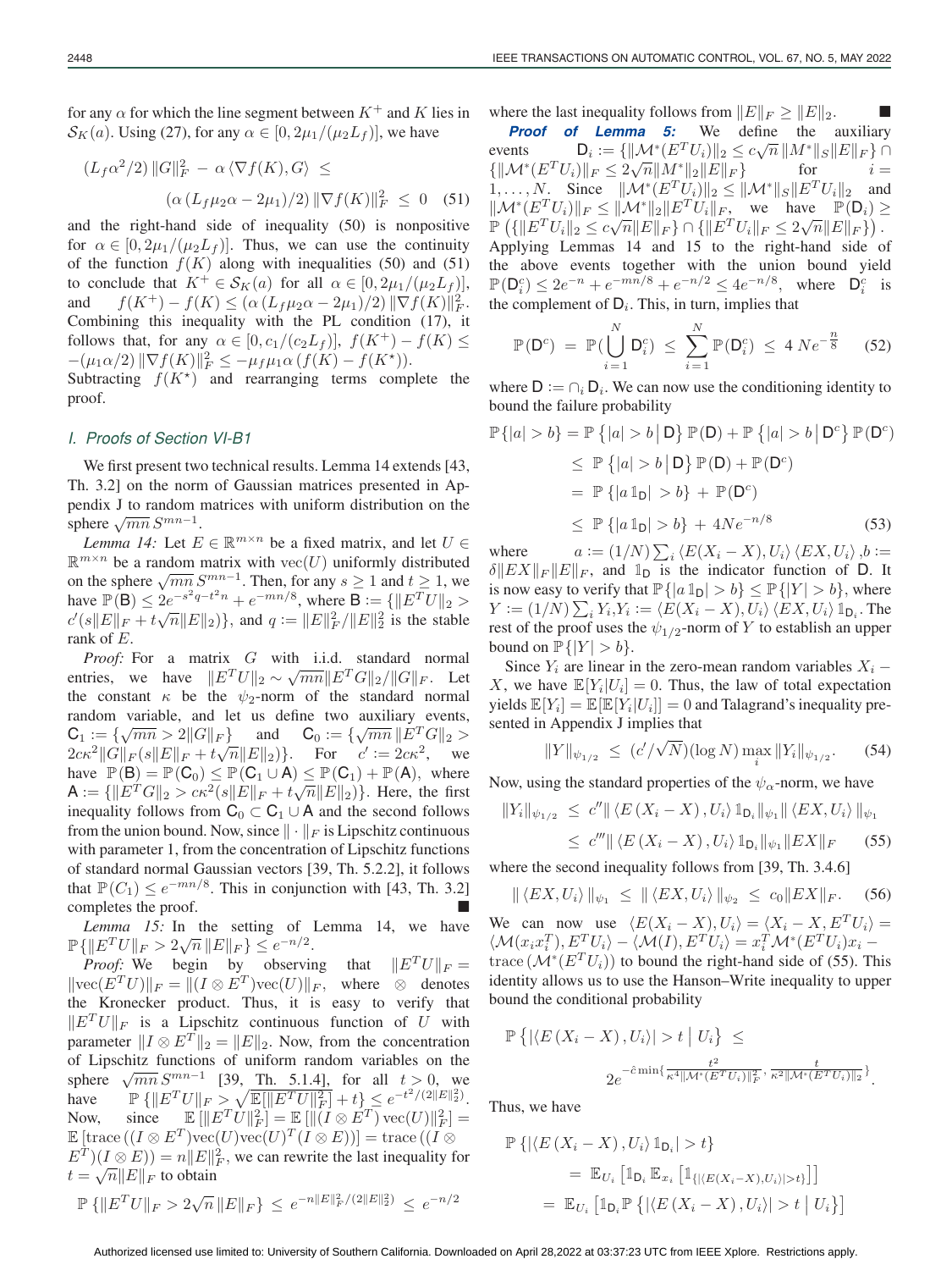for any  $\alpha$  for which the line segment between  $K^+$  and K lies in  $S_K(a)$ . Using (27), for any  $\alpha \in [0, 2\mu_1/(\mu_2L_f)]$ , we have

$$
(L_f \alpha^2/2) ||G||_F^2 - \alpha \langle \nabla f(K), G \rangle \le
$$

$$
(\alpha (L_f \mu_2 \alpha - 2\mu_1)/2) ||\nabla f(K)||_F^2 \le 0 \quad (51)
$$

and the right-hand side of inequality (50) is nonpositive for  $\alpha \in [0, 2\mu_1/(\mu_2 L_f)]$ . Thus, we can use the continuity of the function  $f(K)$  along with inequalities (50) and (51) to conclude that  $K^+ \in S_K(a)$  for all  $\alpha \in [0, 2\mu_1/(\mu_2L_f)],$ and  $f(K^+) - f(K) \leq (\alpha (L_f \mu_2 \alpha - 2\mu_1)/2) ||\nabla f(K)||_F^2$ . Combining this inequality with the PL condition (17), it follows that, for any  $\alpha \in [0, c_1/(c_2L_f)], f(K^+) - f(K) \leq$  $-(\mu_1\alpha/2)\|\nabla f(K)\|_F^2 \leq -\mu_f\mu_1\alpha\left(f(K) - f(K^*)\right).$ 

Subtracting  $f(K^*)$  and rearranging terms complete the proof.

#### *I. Proofs of Section VI-B1*

We first present two technical results. Lemma 14 extends [43, Th. 3.2] on the norm of Gaussian matrices presented in Appendix J to random matrices with uniform distribution on the sphere  $\sqrt{mn} S^{mn-1}$ .

*Lemma 14:* Let  $E \in \mathbb{R}^{m \times n}$  be a fixed matrix, and let  $U \in$  $\mathbb{R}^{m \times n}$  be a random matrix with  $\text{vec}(U)$  uniformly distributed on the sphere  $\sqrt{mn} S^{mn-1}$ . Then, for any  $s \ge 1$  and  $t \ge 1$ , we have  $\mathbb{P}(\mathsf{B}) \leq 2e^{-s^2q-t^2n} + e^{-mn/8}$ , where  $\mathsf{B} := \{ ||E^T U||_2 >$ mave  $\frac{d}{dx}(B) \leq 2e$ <br>  $c'(s||E||_F + t\sqrt{n}||E||_2)$ , and  $q := ||E||_F^2/||E||_2^2$  is the stable rank of E.

*Proof:* For a matrix G with i.i.d. standard normal entries, we have  $||E^T U||_2 \sim \sqrt{mn} ||E^T G||_2 / ||G||_F$ . Let the constant  $\kappa$  be the  $\psi_2$ -norm of the standard normal random variable, and let us define two auxiliary events, C<sub>1</sub> := { $\sqrt{mn} > 2||G||_F$ } and C<sub>0</sub> := { $\sqrt{mn}||E^T G||_2 >$  $2c\kappa^2 ||G||_F (s||E||_F + t\sqrt{n}||E||_2)$ . For  $c' := 2c\kappa^2$ , we have  $\mathbb{P}(B) = \mathbb{P}(C_0) \leq \mathbb{P}(C_1 \cup A) \leq \mathbb{P}(C_1) + \mathbb{P}(A)$ , where  $A := \{ ||E^T G||_2 > c\kappa^2(s||E||_F + t\sqrt{n}||E||_2) \}.$  Here, the first inequality follows from  $C_0 \subset C_1 \cup A$  and the second follows from the union bound. Now, since  $\|\cdot\|_F$  is Lipschitz continuous with parameter 1, from the concentration of Lipschitz functions of standard normal Gaussian vectors [39, Th. 5.2.2], it follows that  $\mathbb{P}(C_1) \leq e^{-mn/8}$ . This in conjunction with [43, Th. 3.2] completes the proof.

*Lemma 15:* In the setting of Lemma 14, we have  $\mathbb{P}\{\|E^T U\|_F > 2\sqrt{n}\, \|E\|_F\} \leq e^{-n/2}.$ 

*Proof:* We begin by observing that  $||E^T U||_F =$  $\|\text{vec}(E^T U)\|_F = \|(I \otimes E^T)\text{vec}(U)\|_F$ , where  $\otimes$  denotes the Kronecker product. Thus, it is easy to verify that  $||E^T U||_F$  is a Lipschitz continuous function of U with parameter  $||I \otimes E^T||_2 = ||E||_2$ . Now, from the concentration of Lipschitz functions of uniform random variables on the sphere  $\sqrt{mn} S^{mn-1}$  [39, Th. 5.1.4], for all  $t > 0$ , we have  $\mathbb{P}\left\{\|E^T U\|_F > \sqrt{\mathbb{E}[\|E^T U\|_F^2]} + t\right\} \leq e^{-t^2/(2\|E\|_2^2)}.$ Now, since  $\mathbb{E}[\Vert E^T U \Vert_F^2] = \mathbb{E}[\Vert (I \otimes E^T) \operatorname{vec}(U) \Vert_F^2] =$  $\mathbb{E}[\text{trace}((I \otimes E^T) \text{vec}(U) \text{vec}(U)^T (I \otimes E))] = \text{trace}((I \otimes$  $E^{T}$ ) $(I \otimes E)$  =  $n||E||_F^2$ , we can rewrite the last inequality for  $t = \sqrt{n} ||E||_F$  to obtain

$$
\mathbb{P}\left\{\|E^T U\|_F > 2\sqrt{n}\, \|E\|_F\right\} \, \leq \, e^{-n\|E\|_F^2/(2\|E\|_2^2)} \, \leq \, e^{-n/2}
$$

where the last inequality follows from  $||E||_F \ge ||E||_2$ .

**Proof of Lemma 5:** We define the auxiliary events  $D_i := \{ ||\mathcal{M}^*(E^T U_i) ||_2 \leq c \sqrt{n} ||M^*||_S ||E||_F \}$ EVENTS  $U_i = \{||\mathcal{M}||E|| \leq C\sqrt{n} ||M|| \leq C\sqrt{n} ||M|| \leq ||\mathcal{M}||E||$ 1,..., N. Since  $\|\mathcal{M}^*(E^T U_i)\|_2 \leq \|\mathcal{M}^*\|_S \|E^T U_i\|_2$  and  $\|\mathcal{M}^*(E^T U_i)\|_F \leq \|\mathcal{M}^*\|_2 \|E^T U_i\|_F$ , we have  $\mathbb{P}(\mathsf{D}_i) \geq$  $\mathbb{P} \left( \{ \| E^T U_i \|_2 \le c \sqrt{n} \| E \|_F \} \cap \{ \| E^T U_i \|_F \le 2 \sqrt{n} \| E \|_F \} \right).$ Applying Lemmas 14 and 15 to the right-hand side of the above events together with the union bound yield  $\mathbb{P}(\mathsf{D}_{i}^{c}) \leq 2e^{-n} + e^{-m\overline{n}/8} + e^{-n/2} \leq 4e^{-n/8}$ , where  $\mathsf{D}_{i}^{c}$  is the complement of  $D_i$ . This, in turn, implies that

$$
\mathbb{P}(\mathsf{D}^c) = \mathbb{P}\left(\bigcup_{i=1}^N \mathsf{D}_i^c\right) \le \sum_{i=1}^N \mathbb{P}(\mathsf{D}_i^c) \le 4Ne^{-\frac{n}{8}} \qquad (52)
$$

where  $D := \bigcap_i D_i$ . We can now use the conditioning identity to bound the failure probability

$$
\mathbb{P}\{|a| > b\} = \mathbb{P}\{|a| > b | \mathbf{D}\} \mathbb{P}(\mathbf{D}) + \mathbb{P}\{|a| > b | \mathbf{D}^c\} \mathbb{P}(\mathbf{D}^c)
$$
  
\n
$$
\leq \mathbb{P}\{|a| > b | \mathbf{D}\} \mathbb{P}(\mathbf{D}) + \mathbb{P}(\mathbf{D}^c)
$$
  
\n
$$
= \mathbb{P}\{|a\mathbb{1}_{\mathbf{D}}| > b\} + \mathbb{P}(\mathbf{D}^c)
$$
  
\n
$$
\leq \mathbb{P}\{|a\mathbb{1}_{\mathbf{D}}| > b\} + 4Ne^{-n/8}
$$
 (53)

where  $a := (1/N) \sum_i \langle E(X_i - X), U_i \rangle \langle EX, U_i \rangle, b :=$  $\delta \|EX\|_F \|E\|_F$ , and  $\mathbb{1}_D$  is the indicator function of D. It is now easy to verify that  $\mathbb{P}\{|a\mathbb{1}_D| > b\} \le \mathbb{P}\{|Y| > b\}$ , where  $Y \coloneqq (1/N) \sum_i Y_i, Y_i \coloneqq \langle E(X_i-X), U_i \rangle \langle EX, U_i \rangle \mathbb{1}_{\mathsf{D}_i}$ . The rest of the proof uses the  $\psi_{1/2}$ -norm of Y to establish an upper bound on  $\mathbb{P}\{|Y| > b\}.$ 

Since  $Y_i$  are linear in the zero-mean random variables  $X_i$  – X, we have  $\mathbb{E}[Y_i|U_i]=0$ . Thus, the law of total expectation yields  $\mathbb{E}[Y_i] = \mathbb{E}[\mathbb{E}[Y_i|U_i]] = 0$  and Talagrand's inequality presented in Appendix J implies that

$$
||Y||_{\psi_{1/2}} \le (c'/\sqrt{N})(\log N) \max_{i} ||Y_i||_{\psi_{1/2}}.
$$
 (54)

Now, using the standard properties of the  $\psi_{\alpha}$ -norm, we have

$$
\begin{aligned} \|Y_i\|_{\psi_{1/2}} &\leq c'' \|\left\langle E\left(X_i - X\right), U_i\right\rangle \mathbb{1}_{\mathsf{D}_i} \|_{\psi_1} \|\left\langle E X, U_i\right\rangle \|_{\psi_1} \\ &\leq c''' \|\left\langle E\left(X_i - X\right), U_i\right\rangle \mathbb{1}_{\mathsf{D}_i} \|_{\psi_1} \|EX\|_F \end{aligned} \tag{55}
$$

where the second inequality follows from [39, Th. 3.4.6]

$$
\|\langle EX, U_i \rangle\|_{\psi_1} \leq \|\langle EX, U_i \rangle\|_{\psi_2} \leq c_0 \|EX\|_F. \tag{56}
$$

We can now use  $\langle E(X_i - X), U_i \rangle = \langle X_i - X, E^T U_i \rangle =$  $\langle \mathcal{M}(x_i x_i^T), E^T U_i \rangle - \langle \mathcal{M}(I), E^T U_i \rangle = x_i^T \mathcal{M}^*(E^T U_i) x_i$ trace  $(\mathcal{M}^*(E^T U_i))$  to bound the right-hand side of (55). This identity allows us to use the Hanson–Write inequality to upper bound the conditional probability

$$
\mathbb{P}\left\{|\langle E(X_i - X), U_i \rangle| > t \mid U_i\right\} \le
$$
  

$$
2e^{-\hat{c}\min\{\frac{t^2}{\kappa^4 ||\mathcal{M}^*(E^T U_i)||_F^2}, \frac{t}{\kappa^2 ||\mathcal{M}^*(E^T U_i)||_2}\}}.
$$

Thus, we have

$$
\mathbb{P}\left\{ \left| \left\langle E\left(X_i - X\right), U_i \right\rangle \mathbb{1}_{\mathsf{D}_i} \right| > t \right\}
$$
\n
$$
= \mathbb{E}_{U_i} \left[ \mathbb{1}_{\mathsf{D}_i} \mathbb{E}_{x_i} \left[ \mathbb{1}_{\left\{ |\left\langle E(X_i - X), U_i \right\rangle| > t \right\}} \right] \right]
$$
\n
$$
= \mathbb{E}_{U_i} \left[ \mathbb{1}_{\mathsf{D}_i} \mathbb{P}\left\{ \left| \left\langle E\left(X_i - X\right), U_i \right\rangle \right| > t \mid U_i \right\} \right]
$$

Authorized licensed use limited to: University of Southern California. Downloaded on April 28,2022 at 03:37:23 UTC from IEEE Xplore. Restrictions apply.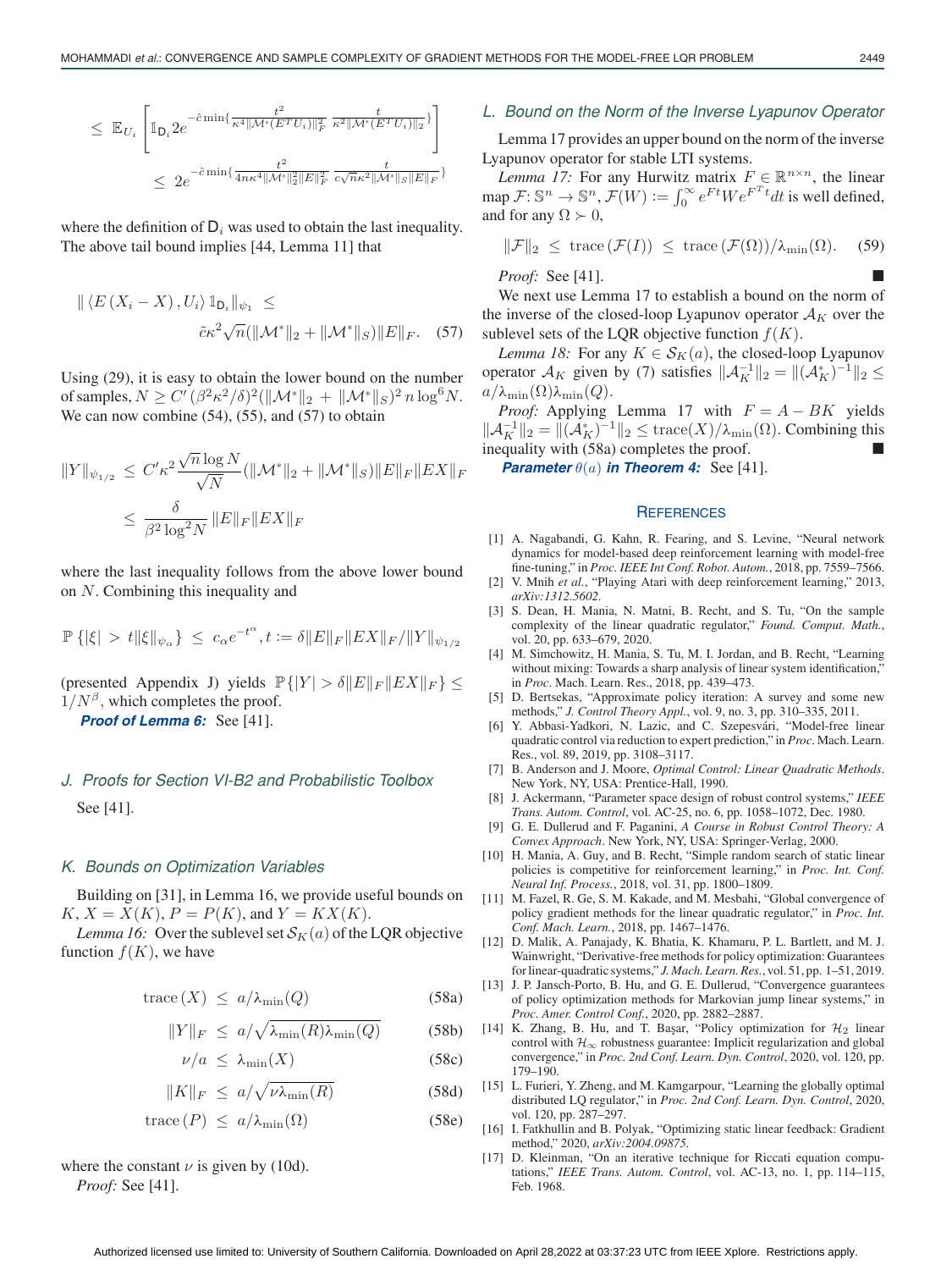$$
\leq \mathbb{E}_{U_i} \left[ \mathbb{1}_{\mathsf{D}_i} 2e^{-\hat{c} \min\{\frac{t^2}{\kappa^4} ||\mathcal{M}^*(E^T U_i)||_F^2} \frac{t}{\kappa^2 ||\mathcal{M}^*(E^T U_i)||_2} \} \right] \n\leq 2e^{-\hat{c} \min\{\frac{t^2}{4n\kappa^4 ||\mathcal{M}^*||_2^2 \|E\|_F^2} \frac{t}{c\sqrt{n}\kappa^2 ||\mathcal{M}^*||_S ||E||_F} \}}
$$

where the definition of  $D_i$  was used to obtain the last inequality. The above tail bound implies [44, Lemma 11] that

$$
\| \langle E(X_i - X), U_i \rangle 1_{\mathsf{D}_i} \|_{\psi_1} \le
$$

$$
\tilde{c} \kappa^2 \sqrt{n} (\|\mathcal{M}^*\|_2 + \|\mathcal{M}^*\|_S) \|E\|_F. \quad (57)
$$

Using (29), it is easy to obtain the lower bound on the number of samples,  $N \ge C' (\beta^2 \kappa^2/\delta)^2 (\|\mathcal{M}^*\|_2 + \|\mathcal{M}^*\|_S)^2 n \log^6 N$ . We can now combine  $(54)$ ,  $(55)$ , and  $(57)$  to obtain

$$
\|Y\|_{\psi_{1/2}} \leq C' \kappa^2 \frac{\sqrt{n} \log N}{\sqrt{N}} (\|\mathcal{M}^*\|_2 + \|\mathcal{M}^*\|_S) \|E\|_F \|EX\|_F
$$
  

$$
\leq \frac{\delta}{\beta^2 \log^2 N} \|E\|_F \|EX\|_F
$$

where the last inequality follows from the above lower bound on N. Combining this inequality and

$$
\mathbb{P}\left\{|\xi| \, > \, t \|\xi\|_{\psi_{\alpha}}\right\} \, \le \, c_{\alpha} e^{-t^{\alpha}}, t := \delta \|E\|_{F} \|EX\|_{F} / \|Y\|_{\psi_{1/2}}
$$

(presented Appendix J) yields  $\mathbb{P}\{|Y| > \delta \|E\|_F \|EX\|_F\} \le$  $1/N^{\beta}$ , which completes the proof.

*Proof of Lemma 6:* See [41].

# *J. Proofs for Section VI-B2 and Probabilistic Toolbox* See [41].

#### *K. Bounds on Optimization Variables*

Building on [31], in Lemma 16, we provide useful bounds on  $K, X = X(K), P = P(K)$ , and  $Y = KX(K)$ .

*Lemma 16:* Over the sublevel set  $\mathcal{S}_K(a)$  of the LQR objective function  $f(K)$ , we have

$$
trace(X) \le a/\lambda_{\min}(Q) \tag{58a}
$$

$$
||Y||_F \le a/\sqrt{\lambda_{\min}(R)\lambda_{\min}(Q)} \tag{58b}
$$

$$
\nu/a \leq \lambda_{\min}(X) \tag{58c}
$$

$$
||K||_F \le a/\sqrt{\nu \lambda_{\min}(R)} \tag{58d}
$$

$$
\text{trace}\left(P\right) \leq a/\lambda_{\min}(\Omega) \tag{58e}
$$

where the constant  $\nu$  is given by (10d).

*Proof:* See [41].

# *L. Bound on the Norm of the Inverse Lyapunov Operator*

Lemma 17 provides an upper bound on the norm of the inverse Lyapunov operator for stable LTI systems.

*Lemma 17:* For any Hurwitz matrix  $F \in \mathbb{R}^{n \times n}$ , the linear map  $\mathcal{F}: \mathbb{S}^n \to \mathbb{S}^n$ ,  $\mathcal{F}(W) := \int_0^\infty e^{Ft} W e^{F^T t} dt$  is well defined, and for any  $\Omega \succ 0$ ,

$$
\|\mathcal{F}\|_2 \leq \text{trace}\left(\mathcal{F}(I)\right) \leq \text{trace}\left(\mathcal{F}(\Omega)\right) / \lambda_{\min}(\Omega). \quad (59)
$$

*Proof:* See [41].

We next use Lemma 17 to establish a bound on the norm of the inverse of the closed-loop Lyapunov operator  $A_K$  over the sublevel sets of the LQR objective function  $f(K)$ .

*Lemma 18:* For any  $K \in S_K(a)$ , the closed-loop Lyapunov operator  $\mathcal{A}_K$  given by (7) satisfies  $\|\mathcal{A}_K^{-1}\|_2 = \|(\mathcal{A}_K^*)^{-1}\|_2 \leq$  $a/\lambda_{\min}(\Omega)\lambda_{\min}(Q)$ .

*Proof:* Applying Lemma 17 with  $F = A - BK$  yields  $||\mathcal{A}_K^{-1}||_2 = ||(\mathcal{A}_K^*)^{-1}||_2 \leq \text{trace}(X)/\lambda_{\min}(\Omega)$ . Combining this inequality with (58a) completes the proof.

*Parameter*  $\theta(a)$  *in Theorem 4:* See [41].

#### **REFERENCES**

- [1] A. Nagabandi, G. Kahn, R. Fearing, and S. Levine, "Neural network dynamics for model-based deep reinforcement learning with model-free fine-tuning," in *Proc. IEEE Int Conf. Robot. Autom.*, 2018, pp. 7559–7566.
- [2] V. Mnih *et al.*, "Playing Atari with deep reinforcement learning," 2013, *arXiv:1312.5602.*
- [3] S. Dean, H. Mania, N. Matni, B. Recht, and S. Tu, "On the sample complexity of the linear quadratic regulator," *Found. Comput. Math.*, vol. 20, pp. 633–679, 2020.
- [4] M. Simchowitz, H. Mania, S. Tu, M. I. Jordan, and B. Recht, "Learning without mixing: Towards a sharp analysis of linear system identification,' in *Proc*. Mach. Learn. Res., 2018, pp. 439–473.
- [5] D. Bertsekas, "Approximate policy iteration: A survey and some new methods," *J. Control Theory Appl.*, vol. 9, no. 3, pp. 310–335, 2011.
- [6] Y. Abbasi-Yadkori, N. Lazic, and C. Szepesvári, "Model-free linear quadratic control via reduction to expert prediction," in *Proc*. Mach. Learn. Res., vol. 89, 2019, pp. 3108–3117.
- [7] B. Anderson and J. Moore, *Optimal Control: Linear Quadratic Methods*. New York, NY, USA: Prentice-Hall, 1990.
- [8] J. Ackermann, "Parameter space design of robust control systems," *IEEE Trans. Autom. Control*, vol. AC-25, no. 6, pp. 1058–1072, Dec. 1980.
- [9] G. E. Dullerud and F. Paganini, *A Course in Robust Control Theory: A Convex Approach*. New York, NY, USA: Springer-Verlag, 2000.
- [10] H. Mania, A. Guy, and B. Recht, "Simple random search of static linear policies is competitive for reinforcement learning," in *Proc. Int. Conf. Neural Inf. Process.*, 2018, vol. 31, pp. 1800–1809.
- [11] M. Fazel, R. Ge, S. M. Kakade, and M. Mesbahi, "Global convergence of policy gradient methods for the linear quadratic regulator," in *Proc. Int. Conf. Mach. Learn.*, 2018, pp. 1467–1476.
- [12] D. Malik, A. Panajady, K. Bhatia, K. Khamaru, P. L. Bartlett, and M. J. Wainwright, "Derivative-free methods for policy optimization: Guarantees for linear-quadratic systems," *J. Mach. Learn. Res.*, vol. 51, pp. 1–51, 2019.
- [13] J. P. Jansch-Porto, B. Hu, and G. E. Dullerud, "Convergence guarantees of policy optimization methods for Markovian jump linear systems," in *Proc. Amer. Control Conf.*, 2020, pp. 2882–2887.
- [14] K. Zhang, B. Hu, and T. Başar, "Policy optimization for  $\mathcal{H}_2$  linear control with  $\mathcal{H}_{\infty}$  robustness guarantee: Implicit regularization and global convergence," in *Proc. 2nd Conf. Learn. Dyn. Control*, 2020, vol. 120, pp. 179–190.
- [15] L. Furieri, Y. Zheng, and M. Kamgarpour, "Learning the globally optimal distributed LQ regulator," in *Proc. 2nd Conf. Learn. Dyn. Control*, 2020, vol. 120, pp. 287–297.
- [16] I. Fatkhullin and B. Polyak, "Optimizing static linear feedback: Gradient method," 2020, *arXiv:2004.09875.*
- [17] D. Kleinman, "On an iterative technique for Riccati equation computations," *IEEE Trans. Autom. Control*, vol. AC-13, no. 1, pp. 114–115, Feb. 1968.